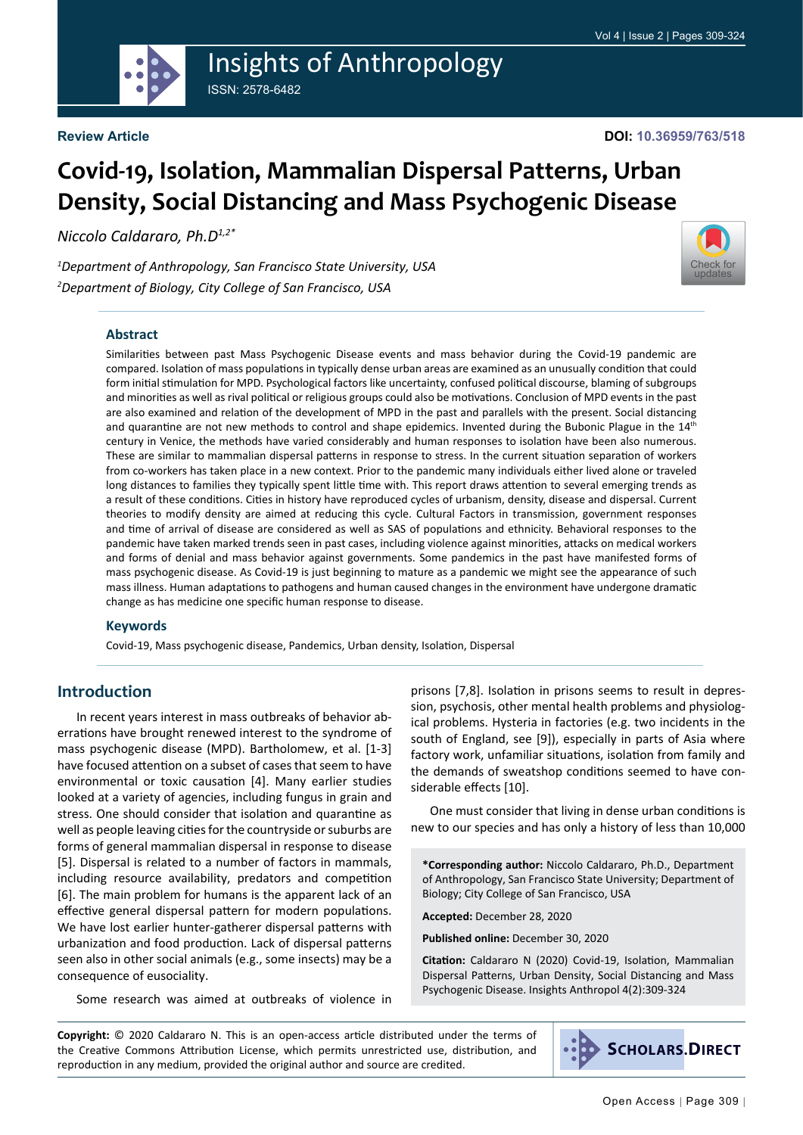

# Insights of Anthropology ISSN: 2578-6482

**Review Article**

# **Covid-19, Isolation, Mammalian Dispersal Patterns, Urban Density, Social Distancing and Mass Psychogenic Disease**

*Niccolo Caldararo, Ph.D1,2\**

*1 Department of Anthropology, San Francisco State University, USA 2 Department of Biology, City College of San Francisco, USA*

#### **Abstract**

Similarities between past Mass Psychogenic Disease events and mass behavior during the Covid-19 pandemic are compared. Isolation of mass populations in typically dense urban areas are examined as an unusually condition that could form initial stimulation for MPD. Psychological factors like uncertainty, confused political discourse, blaming of subgroups and minorities as well as rival political or religious groups could also be motivations. Conclusion of MPD events in the past are also examined and relation of the development of MPD in the past and parallels with the present. Social distancing and quarantine are not new methods to control and shape epidemics. Invented during the Bubonic Plague in the 14<sup>th</sup> century in Venice, the methods have varied considerably and human responses to isolation have been also numerous. These are similar to mammalian dispersal patterns in response to stress. In the current situation separation of workers from co-workers has taken place in a new context. Prior to the pandemic many individuals either lived alone or traveled long distances to families they typically spent little time with. This report draws attention to several emerging trends as a result of these conditions. Cities in history have reproduced cycles of urbanism, density, disease and dispersal. Current theories to modify density are aimed at reducing this cycle. Cultural Factors in transmission, government responses and time of arrival of disease are considered as well as SAS of populations and ethnicity. Behavioral responses to the pandemic have taken marked trends seen in past cases, including violence against minorities, attacks on medical workers and forms of denial and mass behavior against governments. Some pandemics in the past have manifested forms of mass psychogenic disease. As Covid-19 is just beginning to mature as a pandemic we might see the appearance of such mass illness. Human adaptations to pathogens and human caused changes in the environment have undergone dramatic change as has medicine one specific human response to disease.

#### **Keywords**

Covid-19, Mass psychogenic disease, Pandemics, Urban density, Isolation, Dispersal

#### **Introduction**

In recent years interest in mass outbreaks of behavior aberrations have brought renewed interest to the syndrome of mass psychogenic disease (MPD). Bartholomew, et al. [1-3] have focused attention on a subset of cases that seem to have environmental or toxic causation [4]. Many earlier studies looked at a variety of agencies, including fungus in grain and stress. One should consider that isolation and quarantine as well as people leaving cities for the countryside or suburbs are forms of general mammalian dispersal in response to disease [5]. Dispersal is related to a number of factors in mammals, including resource availability, predators and competition [6]. The main problem for humans is the apparent lack of an effective general dispersal pattern for modern populations. We have lost earlier hunter-gatherer dispersal patterns with urbanization and food production. Lack of dispersal patterns seen also in other social animals (e.g., some insects) may be a consequence of eusociality.

Some research was aimed at outbreaks of violence in

prisons [7,8]. Isolation in prisons seems to result in depression, psychosis, other mental health problems and physiological problems. Hysteria in factories (e.g. two incidents in the south of England, see [9]), especially in parts of Asia where factory work, unfamiliar situations, isolation from family and the demands of sweatshop conditions seemed to have considerable effects [10].

One must consider that living in dense urban conditions is new to our species and has only a history of less than 10,000

**\*Corresponding author:** Niccolo Caldararo, Ph.D., Department of Anthropology, San Francisco State University; Department of Biology; City College of San Francisco, USA

**Accepted:** December 28, 2020

**Published online:** December 30, 2020

**Citation:** Caldararo N (2020) Covid-19, Isolation, Mammalian Dispersal Patterns, Urban Density, Social Distancing and Mass Psychogenic Disease. Insights Anthropol 4(2):309-324

**Copyright:** © 2020 Caldararo N. This is an open-access article distributed under the terms of the Creative Commons Attribution License, which permits unrestricted use, distribution, and reproduction in any medium, provided the original author and source are credited.



updates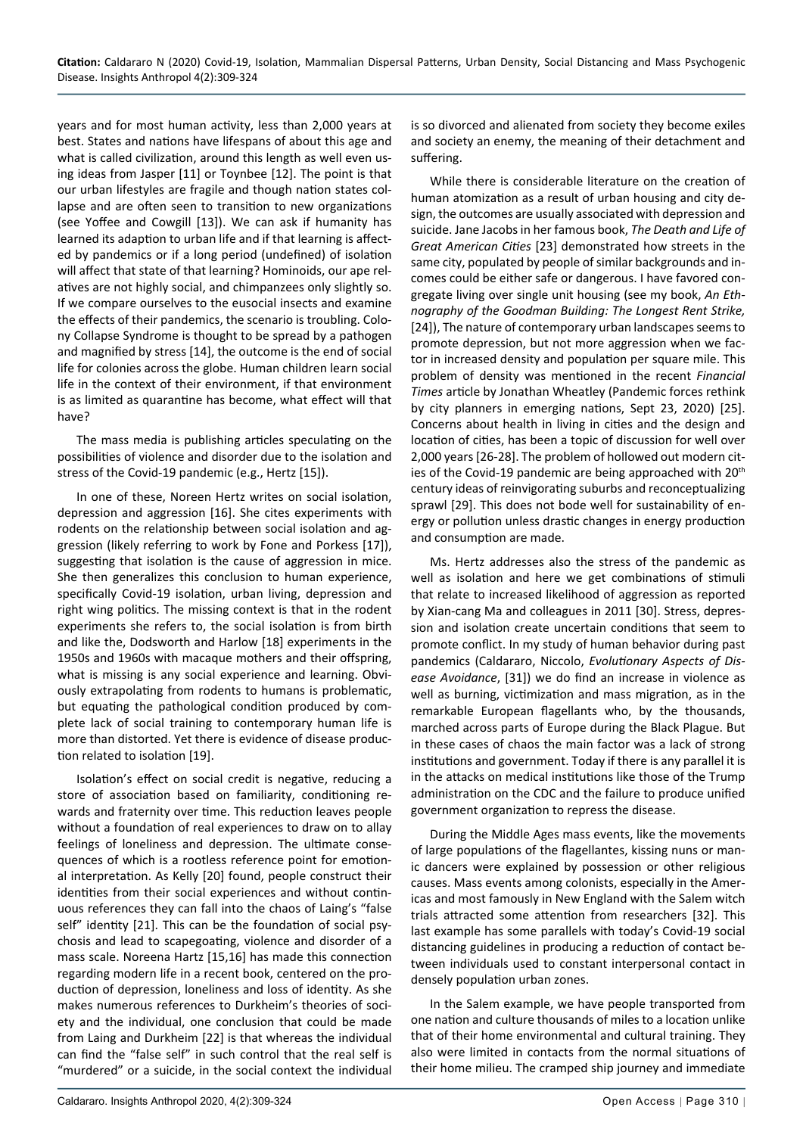years and for most human activity, less than 2,000 years at best. States and nations have lifespans of about this age and what is called civilization, around this length as well even using ideas from Jasper [11] or Toynbee [12]. The point is that our urban lifestyles are fragile and though nation states collapse and are often seen to transition to new organizations (see Yoffee and Cowgill [13]). We can ask if humanity has learned its adaption to urban life and if that learning is affected by pandemics or if a long period (undefined) of isolation will affect that state of that learning? Hominoids, our ape relatives are not highly social, and chimpanzees only slightly so. If we compare ourselves to the eusocial insects and examine the effects of their pandemics, the scenario is troubling. Colony Collapse Syndrome is thought to be spread by a pathogen and magnified by stress [14], the outcome is the end of social life for colonies across the globe. Human children learn social life in the context of their environment, if that environment is as limited as quarantine has become, what effect will that have?

The mass media is publishing articles speculating on the possibilities of violence and disorder due to the isolation and stress of the Covid-19 pandemic (e.g., Hertz [15]).

In one of these, Noreen Hertz writes on social isolation, depression and aggression [16]. She cites experiments with rodents on the relationship between social isolation and aggression (likely referring to work by Fone and Porkess [17]), suggesting that isolation is the cause of aggression in mice. She then generalizes this conclusion to human experience, specifically Covid-19 isolation, urban living, depression and right wing politics. The missing context is that in the rodent experiments she refers to, the social isolation is from birth and like the, Dodsworth and Harlow [18] experiments in the 1950s and 1960s with macaque mothers and their offspring, what is missing is any social experience and learning. Obviously extrapolating from rodents to humans is problematic, but equating the pathological condition produced by complete lack of social training to contemporary human life is more than distorted. Yet there is evidence of disease production related to isolation [19].

Isolation's effect on social credit is negative, reducing a store of association based on familiarity, conditioning rewards and fraternity over time. This reduction leaves people without a foundation of real experiences to draw on to allay feelings of loneliness and depression. The ultimate consequences of which is a rootless reference point for emotional interpretation. As Kelly [20] found, people construct their identities from their social experiences and without continuous references they can fall into the chaos of Laing's "false self" identity [21]. This can be the foundation of social psychosis and lead to scapegoating, violence and disorder of a mass scale. Noreena Hartz [15,16] has made this connection regarding modern life in a recent book, centered on the production of depression, loneliness and loss of identity. As she makes numerous references to Durkheim's theories of society and the individual, one conclusion that could be made from Laing and Durkheim [22] is that whereas the individual can find the "false self" in such control that the real self is "murdered" or a suicide, in the social context the individual is so divorced and alienated from society they become exiles and society an enemy, the meaning of their detachment and suffering.

While there is considerable literature on the creation of human atomization as a result of urban housing and city design, the outcomes are usually associated with depression and suicide. Jane Jacobs in her famous book, *The Death and Life of Great American Cities* [23] demonstrated how streets in the same city, populated by people of similar backgrounds and incomes could be either safe or dangerous. I have favored congregate living over single unit housing (see my book, *An Ethnography of the Goodman Building: The Longest Rent Strike,*  [24]), The nature of contemporary urban landscapes seems to promote depression, but not more aggression when we factor in increased density and population per square mile. This problem of density was mentioned in the recent *Financial Times* article by Jonathan Wheatley (Pandemic forces rethink by city planners in emerging nations, Sept 23, 2020) [25]. Concerns about health in living in cities and the design and location of cities, has been a topic of discussion for well over 2,000 years [26-28]. The problem of hollowed out modern cities of the Covid-19 pandemic are being approached with 20<sup>th</sup> century ideas of reinvigorating suburbs and reconceptualizing sprawl [29]. This does not bode well for sustainability of energy or pollution unless drastic changes in energy production and consumption are made.

Ms. Hertz addresses also the stress of the pandemic as well as isolation and here we get combinations of stimuli that relate to increased likelihood of aggression as reported by Xian-cang Ma and colleagues in 2011 [30]. Stress, depression and isolation create uncertain conditions that seem to promote conflict. In my study of human behavior during past pandemics (Caldararo, Niccolo, *Evolutionary Aspects of Disease Avoidance*, [31]) we do find an increase in violence as well as burning, victimization and mass migration, as in the remarkable European flagellants who, by the thousands, marched across parts of Europe during the Black Plague. But in these cases of chaos the main factor was a lack of strong institutions and government. Today if there is any parallel it is in the attacks on medical institutions like those of the Trump administration on the CDC and the failure to produce unified government organization to repress the disease.

During the Middle Ages mass events, like the movements of large populations of the flagellantes, kissing nuns or manic dancers were explained by possession or other religious causes. Mass events among colonists, especially in the Americas and most famously in New England with the Salem witch trials attracted some attention from researchers [32]. This last example has some parallels with today's Covid-19 social distancing guidelines in producing a reduction of contact between individuals used to constant interpersonal contact in densely population urban zones.

In the Salem example, we have people transported from one nation and culture thousands of miles to a location unlike that of their home environmental and cultural training. They also were limited in contacts from the normal situations of their home milieu. The cramped ship journey and immediate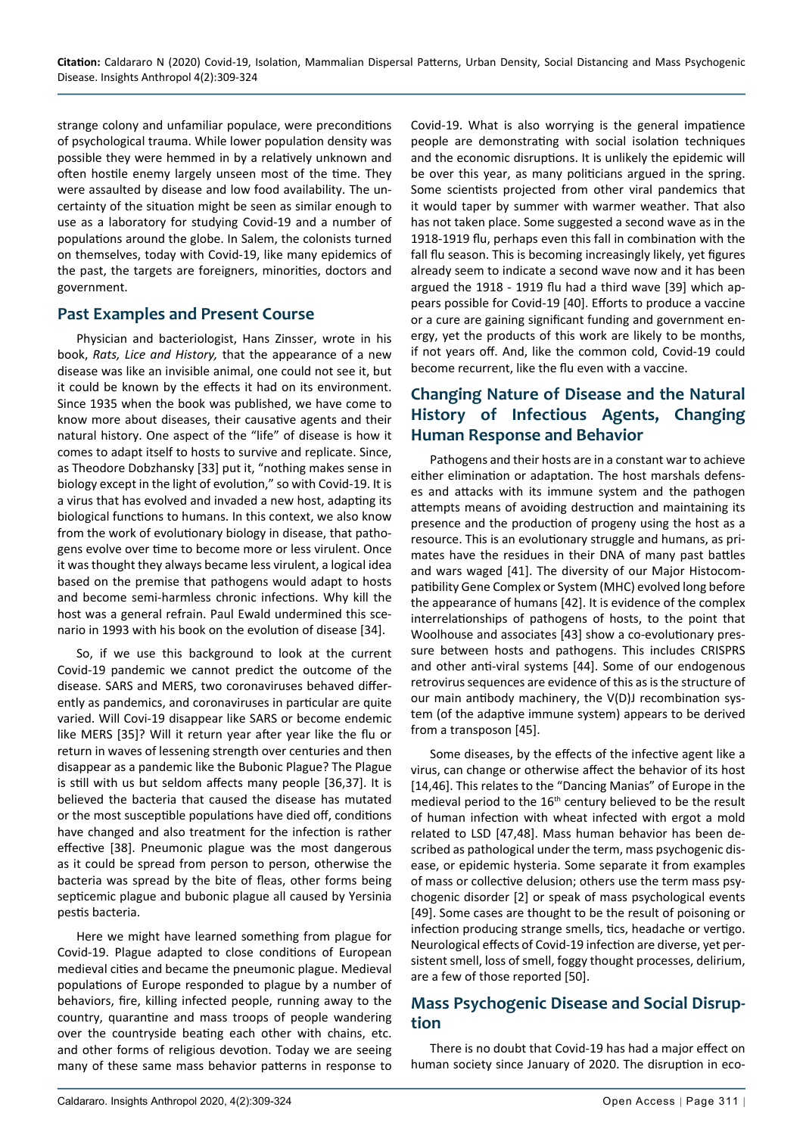strange colony and unfamiliar populace, were preconditions of psychological trauma. While lower population density was possible they were hemmed in by a relatively unknown and often hostile enemy largely unseen most of the time. They were assaulted by disease and low food availability. The uncertainty of the situation might be seen as similar enough to use as a laboratory for studying Covid-19 and a number of populations around the globe. In Salem, the colonists turned on themselves, today with Covid-19, like many epidemics of the past, the targets are foreigners, minorities, doctors and government.

#### **Past Examples and Present Course**

Physician and bacteriologist, Hans Zinsser, wrote in his book, *Rats, Lice and History,* that the appearance of a new disease was like an invisible animal, one could not see it, but it could be known by the effects it had on its environment. Since 1935 when the book was published, we have come to know more about diseases, their causative agents and their natural history. One aspect of the "life" of disease is how it comes to adapt itself to hosts to survive and replicate. Since, as Theodore Dobzhansky [33] put it, "nothing makes sense in biology except in the light of evolution," so with Covid-19. It is a virus that has evolved and invaded a new host, adapting its biological functions to humans. In this context, we also know from the work of evolutionary biology in disease, that pathogens evolve over time to become more or less virulent. Once it was thought they always became less virulent, a logical idea based on the premise that pathogens would adapt to hosts and become semi-harmless chronic infections. Why kill the host was a general refrain. Paul Ewald undermined this scenario in 1993 with his book on the evolution of disease [34].

So, if we use this background to look at the current Covid-19 pandemic we cannot predict the outcome of the disease. SARS and MERS, two coronaviruses behaved differently as pandemics, and coronaviruses in particular are quite varied. Will Covi-19 disappear like SARS or become endemic like MERS [35]? Will it return year after year like the flu or return in waves of lessening strength over centuries and then disappear as a pandemic like the Bubonic Plague? The Plague is still with us but seldom affects many people [36,37]. It is believed the bacteria that caused the disease has mutated or the most susceptible populations have died off, conditions have changed and also treatment for the infection is rather effective [38]. Pneumonic plague was the most dangerous as it could be spread from person to person, otherwise the bacteria was spread by the bite of fleas, other forms being septicemic plague and bubonic plague all caused by Yersinia pestis bacteria.

Here we might have learned something from plague for Covid-19. Plague adapted to close conditions of European medieval cities and became the pneumonic plague. Medieval populations of Europe responded to plague by a number of behaviors, fire, killing infected people, running away to the country, quarantine and mass troops of people wandering over the countryside beating each other with chains, etc. and other forms of religious devotion. Today we are seeing many of these same mass behavior patterns in response to

Covid-19. What is also worrying is the general impatience people are demonstrating with social isolation techniques and the economic disruptions. It is unlikely the epidemic will be over this year, as many politicians argued in the spring. Some scientists projected from other viral pandemics that it would taper by summer with warmer weather. That also has not taken place. Some suggested a second wave as in the 1918-1919 flu, perhaps even this fall in combination with the fall flu season. This is becoming increasingly likely, yet figures already seem to indicate a second wave now and it has been argued the 1918 - 1919 flu had a third wave [39] which appears possible for Covid-19 [40]. Efforts to produce a vaccine or a cure are gaining significant funding and government energy, yet the products of this work are likely to be months, if not years off. And, like the common cold, Covid-19 could become recurrent, like the flu even with a vaccine.

# **Changing Nature of Disease and the Natural History of Infectious Agents, Changing Human Response and Behavior**

Pathogens and their hosts are in a constant war to achieve either elimination or adaptation. The host marshals defenses and attacks with its immune system and the pathogen attempts means of avoiding destruction and maintaining its presence and the production of progeny using the host as a resource. This is an evolutionary struggle and humans, as primates have the residues in their DNA of many past battles and wars waged [41]. The diversity of our Major Histocompatibility Gene Complex or System (MHC) evolved long before the appearance of humans [42]. It is evidence of the complex interrelationships of pathogens of hosts, to the point that Woolhouse and associates [43] show a co-evolutionary pressure between hosts and pathogens. This includes CRISPRS and other anti-viral systems [44]. Some of our endogenous retrovirus sequences are evidence of this as is the structure of our main antibody machinery, the V(D)J recombination system (of the adaptive immune system) appears to be derived from a transposon [45].

Some diseases, by the effects of the infective agent like a virus, can change or otherwise affect the behavior of its host [14,46]. This relates to the "Dancing Manias" of Europe in the medieval period to the 16<sup>th</sup> century believed to be the result of human infection with wheat infected with ergot a mold related to LSD [47,48]. Mass human behavior has been described as pathological under the term, mass psychogenic disease, or epidemic hysteria. Some separate it from examples of mass or collective delusion; others use the term mass psychogenic disorder [2] or speak of mass psychological events [49]. Some cases are thought to be the result of poisoning or infection producing strange smells, tics, headache or vertigo. Neurological effects of Covid-19 infection are diverse, yet persistent smell, loss of smell, foggy thought processes, delirium, are a few of those reported [50].

## **Mass Psychogenic Disease and Social Disruption**

There is no doubt that Covid-19 has had a major effect on human society since January of 2020. The disruption in eco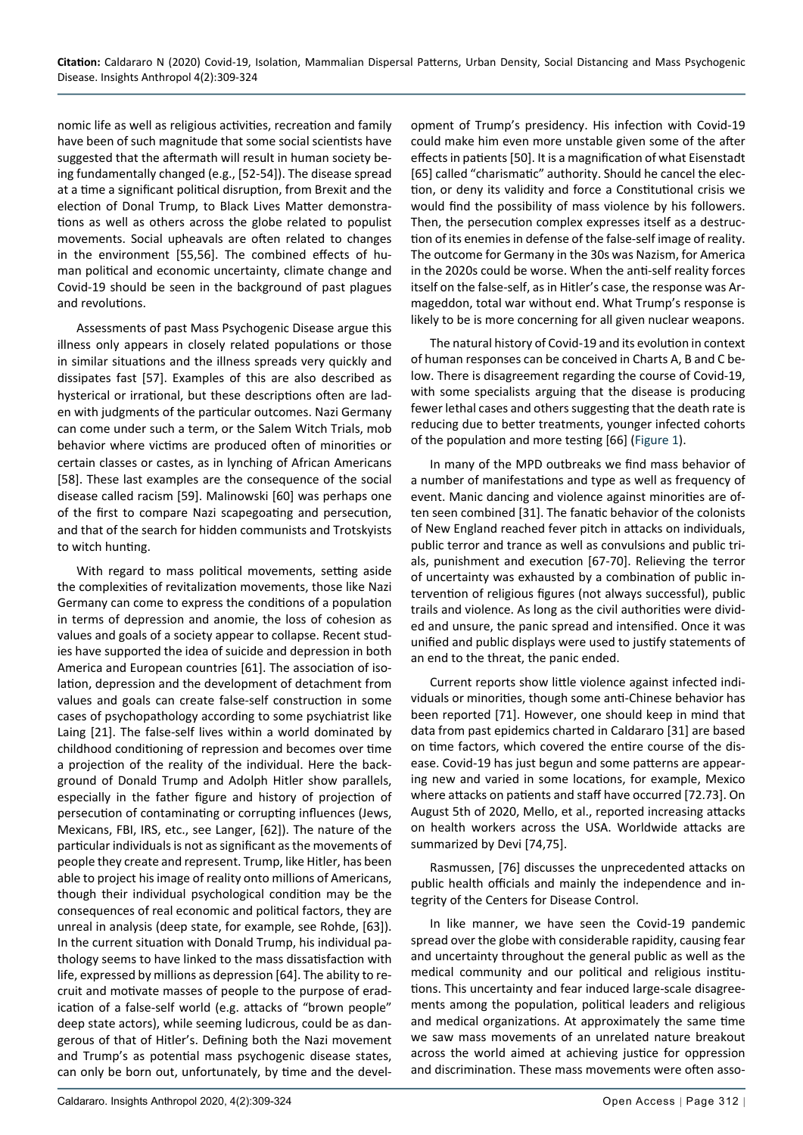nomic life as well as religious activities, recreation and family have been of such magnitude that some social scientists have suggested that the aftermath will result in human society being fundamentally changed (e.g., [52-54]). The disease spread at a time a significant political disruption, from Brexit and the election of Donal Trump, to Black Lives Matter demonstrations as well as others across the globe related to populist movements. Social upheavals are often related to changes in the environment [55,56]. The combined effects of human political and economic uncertainty, climate change and Covid-19 should be seen in the background of past plagues and revolutions.

Assessments of past Mass Psychogenic Disease argue this illness only appears in closely related populations or those in similar situations and the illness spreads very quickly and dissipates fast [57]. Examples of this are also described as hysterical or irrational, but these descriptions often are laden with judgments of the particular outcomes. Nazi Germany can come under such a term, or the Salem Witch Trials, mob behavior where victims are produced often of minorities or certain classes or castes, as in lynching of African Americans [58]. These last examples are the consequence of the social disease called racism [59]. Malinowski [60] was perhaps one of the first to compare Nazi scapegoating and persecution, and that of the search for hidden communists and Trotskyists to witch hunting.

With regard to mass political movements, setting aside the complexities of revitalization movements, those like Nazi Germany can come to express the conditions of a population in terms of depression and anomie, the loss of cohesion as values and goals of a society appear to collapse. Recent studies have supported the idea of suicide and depression in both America and European countries [61]. The association of isolation, depression and the development of detachment from values and goals can create false-self construction in some cases of psychopathology according to some psychiatrist like Laing [21]. The false-self lives within a world dominated by childhood conditioning of repression and becomes over time a projection of the reality of the individual. Here the background of Donald Trump and Adolph Hitler show parallels, especially in the father figure and history of projection of persecution of contaminating or corrupting influences (Jews, Mexicans, FBI, IRS, etc., see Langer, [62]). The nature of the particular individuals is not as significant as the movements of people they create and represent. Trump, like Hitler, has been able to project his image of reality onto millions of Americans, though their individual psychological condition may be the consequences of real economic and political factors, they are unreal in analysis (deep state, for example, see Rohde, [63]). In the current situation with Donald Trump, his individual pathology seems to have linked to the mass dissatisfaction with life, expressed by millions as depression [64]. The ability to recruit and motivate masses of people to the purpose of eradication of a false-self world (e.g. attacks of "brown people" deep state actors), while seeming ludicrous, could be as dangerous of that of Hitler's. Defining both the Nazi movement and Trump's as potential mass psychogenic disease states, can only be born out, unfortunately, by time and the development of Trump's presidency. His infection with Covid-19 could make him even more unstable given some of the after effects in patients [50]. It is a magnification of what Eisenstadt [65] called "charismatic" authority. Should he cancel the election, or deny its validity and force a Constitutional crisis we would find the possibility of mass violence by his followers. Then, the persecution complex expresses itself as a destruction of its enemies in defense of the false-self image of reality. The outcome for Germany in the 30s was Nazism, for America in the 2020s could be worse. When the anti-self reality forces itself on the false-self, as in Hitler's case, the response was Armageddon, total war without end. What Trump's response is likely to be is more concerning for all given nuclear weapons.

The natural history of Covid-19 and its evolution in context of human responses can be conceived in Charts A, B and C below. There is disagreement regarding the course of Covid-19, with some specialists arguing that the disease is producing fewer lethal cases and others suggesting that the death rate is reducing due to better treatments, younger infected cohorts of the population and more testing [66] ([Figure 1](#page-4-0)).

In many of the MPD outbreaks we find mass behavior of a number of manifestations and type as well as frequency of event. Manic dancing and violence against minorities are often seen combined [31]. The fanatic behavior of the colonists of New England reached fever pitch in attacks on individuals, public terror and trance as well as convulsions and public trials, punishment and execution [67-70]. Relieving the terror of uncertainty was exhausted by a combination of public intervention of religious figures (not always successful), public trails and violence. As long as the civil authorities were divided and unsure, the panic spread and intensified. Once it was unified and public displays were used to justify statements of an end to the threat, the panic ended.

Current reports show little violence against infected individuals or minorities, though some anti-Chinese behavior has been reported [71]. However, one should keep in mind that data from past epidemics charted in Caldararo [31] are based on time factors, which covered the entire course of the disease. Covid-19 has just begun and some patterns are appearing new and varied in some locations, for example, Mexico where attacks on patients and staff have occurred [72.73]. On August 5th of 2020, Mello, et al., reported increasing attacks on health workers across the USA. Worldwide attacks are summarized by Devi [74,75].

Rasmussen, [76] discusses the unprecedented attacks on public health officials and mainly the independence and integrity of the Centers for Disease Control.

In like manner, we have seen the Covid-19 pandemic spread over the globe with considerable rapidity, causing fear and uncertainty throughout the general public as well as the medical community and our political and religious institutions. This uncertainty and fear induced large-scale disagreements among the population, political leaders and religious and medical organizations. At approximately the same time we saw mass movements of an unrelated nature breakout across the world aimed at achieving justice for oppression and discrimination. These mass movements were often asso-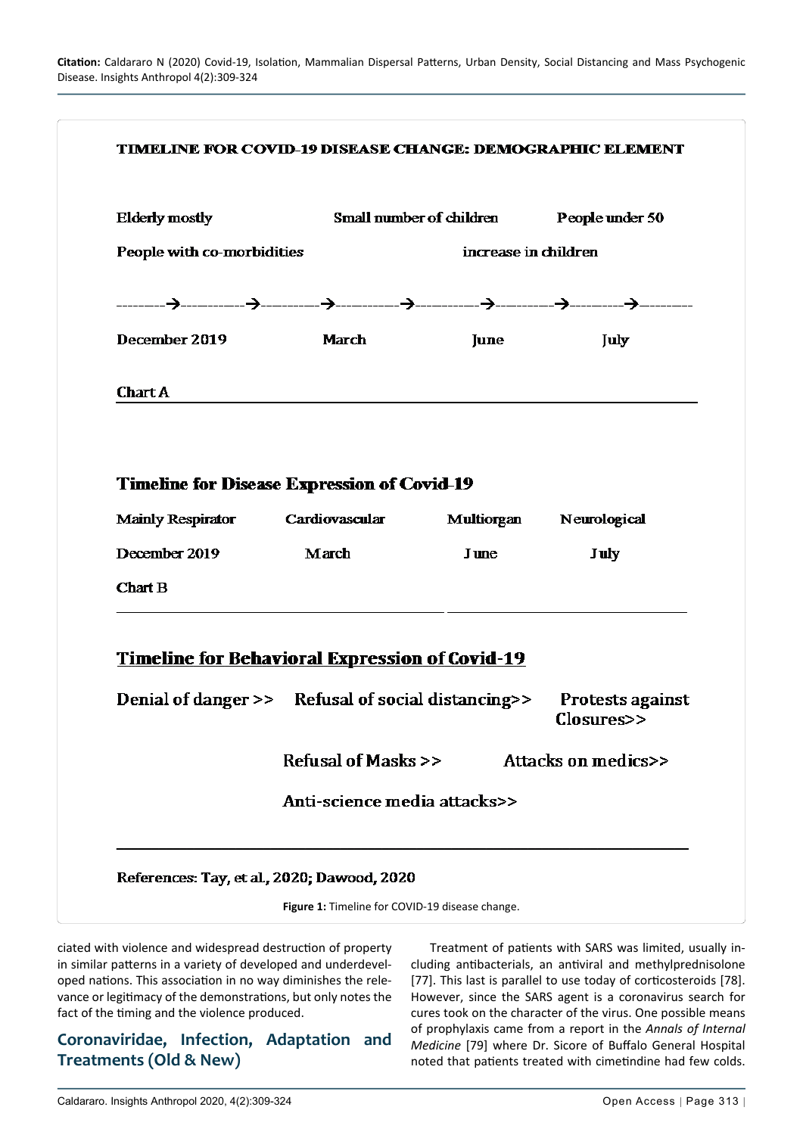<span id="page-4-0"></span>

| <b>Elderly mostly</b>                                               |                              | Small number of children         | People under 50         |
|---------------------------------------------------------------------|------------------------------|----------------------------------|-------------------------|
| increase in children<br>People with co-morbidities                  |                              |                                  |                         |
|                                                                     |                              |                                  |                         |
| December 2019                                                       | <b>March</b>                 | June                             | July                    |
| <b>Chart A</b>                                                      |                              |                                  |                         |
|                                                                     |                              | Mainly Respirator Cardiovascular | Multiorgan Neurological |
| December 2019<br><b>Chart B</b>                                     | March                        | <b>June</b>                      | <b>July</b>             |
| <b>Timeline for Behavioral Expression of Covid-19</b>               |                              |                                  |                         |
| Denial of danger >> Refusal of social distancing>> Protests against |                              |                                  | Closures>>              |
|                                                                     | Refusal of Masks >>          |                                  | Attacks on medics>>     |
|                                                                     | Anti-science media attacks>> |                                  |                         |
| References: Tay, et al., 2020; Dawood, 2020                         |                              |                                  |                         |

ciated with violence and widespread destruction of property in similar patterns in a variety of developed and underdeveloped nations. This association in no way diminishes the relevance or legitimacy of the demonstrations, but only notes the fact of the timing and the violence produced.

#### **Coronaviridae, Infection, Adaptation and Treatments (Old & New)**

Treatment of patients with SARS was limited, usually including antibacterials, an antiviral and methylprednisolone [77]. This last is parallel to use today of corticosteroids [78]. However, since the SARS agent is a coronavirus search for cures took on the character of the virus. One possible means of prophylaxis came from a report in the *Annals of Internal Medicine* [79] where Dr. Sicore of Buffalo General Hospital noted that patients treated with cimetindine had few colds.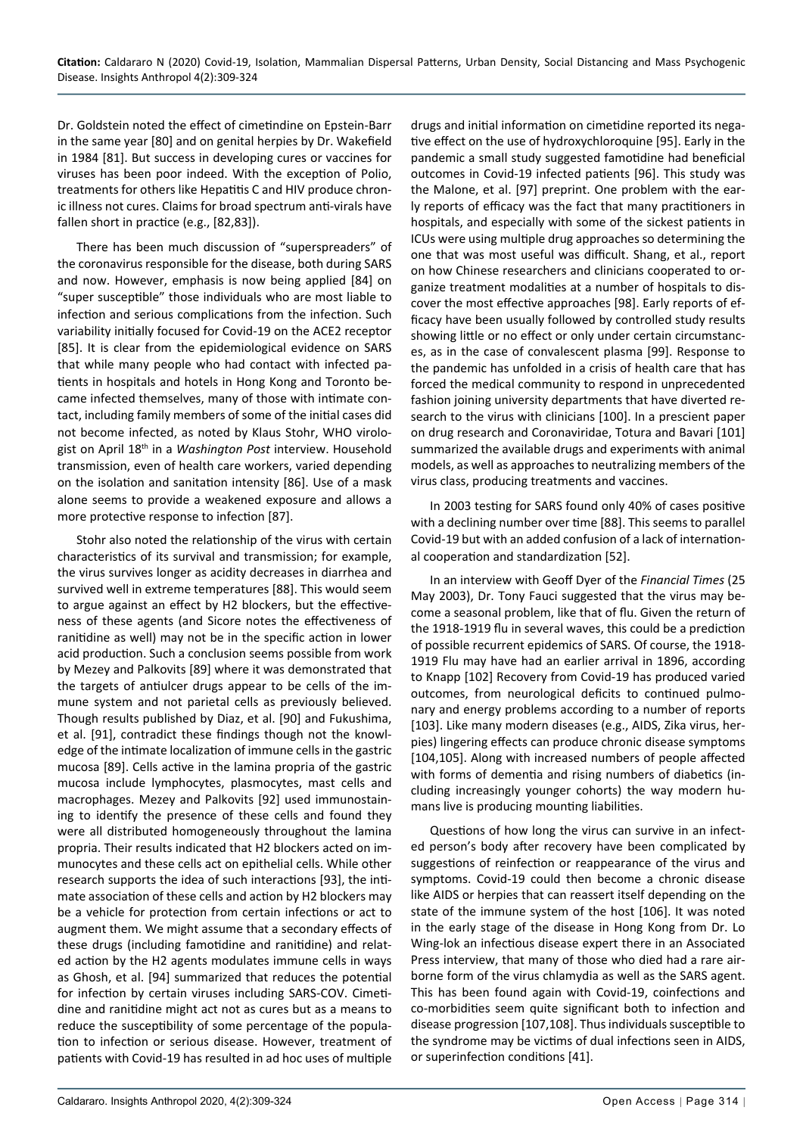Dr. Goldstein noted the effect of cimetindine on Epstein-Barr in the same year [80] and on genital herpies by Dr. Wakefield in 1984 [81]. But success in developing cures or vaccines for viruses has been poor indeed. With the exception of Polio, treatments for others like Hepatitis C and HIV produce chronic illness not cures. Claims for broad spectrum anti-virals have fallen short in practice (e.g., [82,83]).

There has been much discussion of "superspreaders" of the coronavirus responsible for the disease, both during SARS and now. However, emphasis is now being applied [84] on "super susceptible" those individuals who are most liable to infection and serious complications from the infection. Such variability initially focused for Covid-19 on the ACE2 receptor [85]. It is clear from the epidemiological evidence on SARS that while many people who had contact with infected patients in hospitals and hotels in Hong Kong and Toronto became infected themselves, many of those with intimate contact, including family members of some of the initial cases did not become infected, as noted by Klaus Stohr, WHO virologist on April 18th in a *Washington Post* interview. Household transmission, even of health care workers, varied depending on the isolation and sanitation intensity [86]. Use of a mask alone seems to provide a weakened exposure and allows a more protective response to infection [87].

Stohr also noted the relationship of the virus with certain characteristics of its survival and transmission; for example, the virus survives longer as acidity decreases in diarrhea and survived well in extreme temperatures [88]. This would seem to argue against an effect by H2 blockers, but the effectiveness of these agents (and Sicore notes the effectiveness of ranitidine as well) may not be in the specific action in lower acid production. Such a conclusion seems possible from work by Mezey and Palkovits [89] where it was demonstrated that the targets of antiulcer drugs appear to be cells of the immune system and not parietal cells as previously believed. Though results published by Diaz, et al. [90] and Fukushima, et al. [91], contradict these findings though not the knowledge of the intimate localization of immune cells in the gastric mucosa [89]. Cells active in the lamina propria of the gastric mucosa include lymphocytes, plasmocytes, mast cells and macrophages. Mezey and Palkovits [92] used immunostaining to identify the presence of these cells and found they were all distributed homogeneously throughout the lamina propria. Their results indicated that H2 blockers acted on immunocytes and these cells act on epithelial cells. While other research supports the idea of such interactions [93], the intimate association of these cells and action by H2 blockers may be a vehicle for protection from certain infections or act to augment them. We might assume that a secondary effects of these drugs (including famotidine and ranitidine) and related action by the H2 agents modulates immune cells in ways as Ghosh, et al. [94] summarized that reduces the potential for infection by certain viruses including SARS-COV. Cimetidine and ranitidine might act not as cures but as a means to reduce the susceptibility of some percentage of the population to infection or serious disease. However, treatment of patients with Covid-19 has resulted in ad hoc uses of multiple

drugs and initial information on cimetidine reported its negative effect on the use of hydroxychloroquine [95]. Early in the pandemic a small study suggested famotidine had beneficial outcomes in Covid-19 infected patients [96]. This study was the Malone, et al. [97] preprint. One problem with the early reports of efficacy was the fact that many practitioners in hospitals, and especially with some of the sickest patients in ICUs were using multiple drug approaches so determining the one that was most useful was difficult. Shang, et al., report on how Chinese researchers and clinicians cooperated to organize treatment modalities at a number of hospitals to discover the most effective approaches [98]. Early reports of efficacy have been usually followed by controlled study results showing little or no effect or only under certain circumstances, as in the case of convalescent plasma [99]. Response to the pandemic has unfolded in a crisis of health care that has forced the medical community to respond in unprecedented fashion joining university departments that have diverted research to the virus with clinicians [100]. In a prescient paper on drug research and Coronaviridae, Totura and Bavari [101] summarized the available drugs and experiments with animal models, as well as approaches to neutralizing members of the virus class, producing treatments and vaccines.

In 2003 testing for SARS found only 40% of cases positive with a declining number over time [88]. This seems to parallel Covid-19 but with an added confusion of a lack of international cooperation and standardization [52].

In an interview with Geoff Dyer of the *Financial Times* (25 May 2003), Dr. Tony Fauci suggested that the virus may become a seasonal problem, like that of flu. Given the return of the 1918-1919 flu in several waves, this could be a prediction of possible recurrent epidemics of SARS. Of course, the 1918- 1919 Flu may have had an earlier arrival in 1896, according to Knapp [102] Recovery from Covid-19 has produced varied outcomes, from neurological deficits to continued pulmonary and energy problems according to a number of reports [103]. Like many modern diseases (e.g., AIDS, Zika virus, herpies) lingering effects can produce chronic disease symptoms [104,105]. Along with increased numbers of people affected with forms of dementia and rising numbers of diabetics (including increasingly younger cohorts) the way modern humans live is producing mounting liabilities.

Questions of how long the virus can survive in an infected person's body after recovery have been complicated by suggestions of reinfection or reappearance of the virus and symptoms. Covid-19 could then become a chronic disease like AIDS or herpies that can reassert itself depending on the state of the immune system of the host [106]. It was noted in the early stage of the disease in Hong Kong from Dr. Lo Wing-lok an infectious disease expert there in an Associated Press interview, that many of those who died had a rare airborne form of the virus chlamydia as well as the SARS agent. This has been found again with Covid-19, coinfections and co-morbidities seem quite significant both to infection and disease progression [107,108]. Thus individuals susceptible to the syndrome may be victims of dual infections seen in AIDS, or superinfection conditions [41].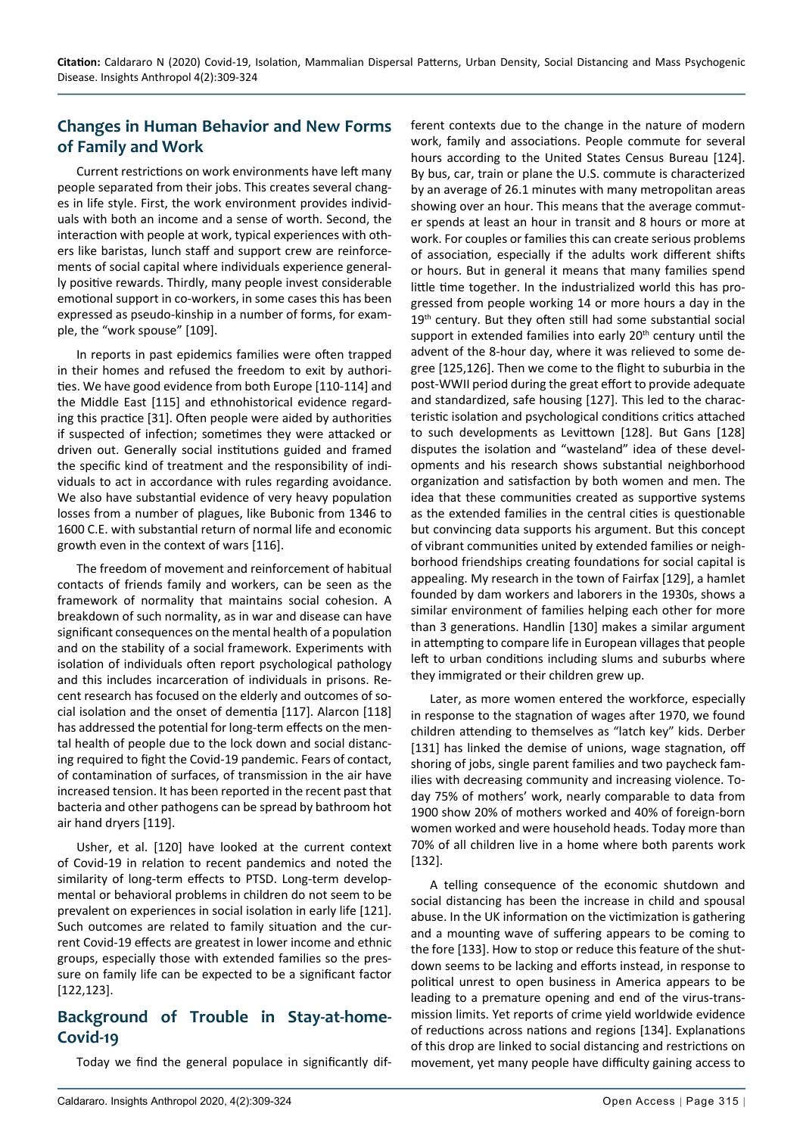# **Changes in Human Behavior and New Forms of Family and Work**

Current restrictions on work environments have left many people separated from their jobs. This creates several changes in life style. First, the work environment provides individuals with both an income and a sense of worth. Second, the interaction with people at work, typical experiences with others like baristas, lunch staff and support crew are reinforcements of social capital where individuals experience generally positive rewards. Thirdly, many people invest considerable emotional support in co-workers, in some cases this has been expressed as pseudo-kinship in a number of forms, for example, the "work spouse" [109].

In reports in past epidemics families were often trapped in their homes and refused the freedom to exit by authorities. We have good evidence from both Europe [110-114] and the Middle East [115] and ethnohistorical evidence regarding this practice [31]. Often people were aided by authorities if suspected of infection; sometimes they were attacked or driven out. Generally social institutions guided and framed the specific kind of treatment and the responsibility of individuals to act in accordance with rules regarding avoidance. We also have substantial evidence of very heavy population losses from a number of plagues, like Bubonic from 1346 to 1600 C.E. with substantial return of normal life and economic growth even in the context of wars [116].

The freedom of movement and reinforcement of habitual contacts of friends family and workers, can be seen as the framework of normality that maintains social cohesion. A breakdown of such normality, as in war and disease can have significant consequences on the mental health of a population and on the stability of a social framework. Experiments with isolation of individuals often report psychological pathology and this includes incarceration of individuals in prisons. Recent research has focused on the elderly and outcomes of social isolation and the onset of dementia [117]. Alarcon [118] has addressed the potential for long-term effects on the mental health of people due to the lock down and social distancing required to fight the Covid-19 pandemic. Fears of contact, of contamination of surfaces, of transmission in the air have increased tension. It has been reported in the recent past that bacteria and other pathogens can be spread by bathroom hot air hand dryers [119].

Usher, et al. [120] have looked at the current context of Covid-19 in relation to recent pandemics and noted the similarity of long-term effects to PTSD. Long-term developmental or behavioral problems in children do not seem to be prevalent on experiences in social isolation in early life [121]. Such outcomes are related to family situation and the current Covid-19 effects are greatest in lower income and ethnic groups, especially those with extended families so the pressure on family life can be expected to be a significant factor [122,123].

## **Background of Trouble in Stay-at-home-Covid-19**

Today we find the general populace in significantly dif-

ferent contexts due to the change in the nature of modern work, family and associations. People commute for several hours according to the United States Census Bureau [124]. By bus, car, train or plane the U.S. commute is characterized by an average of 26.1 minutes with many metropolitan areas showing over an hour. This means that the average commuter spends at least an hour in transit and 8 hours or more at work. For couples or families this can create serious problems of association, especially if the adults work different shifts or hours. But in general it means that many families spend little time together. In the industrialized world this has progressed from people working 14 or more hours a day in the 19<sup>th</sup> century. But they often still had some substantial social support in extended families into early 20<sup>th</sup> century until the advent of the 8-hour day, where it was relieved to some degree [125,126]. Then we come to the flight to suburbia in the post-WWII period during the great effort to provide adequate and standardized, safe housing [127]. This led to the characteristic isolation and psychological conditions critics attached to such developments as Levittown [128]. But Gans [128] disputes the isolation and "wasteland" idea of these developments and his research shows substantial neighborhood organization and satisfaction by both women and men. The idea that these communities created as supportive systems as the extended families in the central cities is questionable but convincing data supports his argument. But this concept of vibrant communities united by extended families or neighborhood friendships creating foundations for social capital is appealing. My research in the town of Fairfax [129], a hamlet founded by dam workers and laborers in the 1930s, shows a similar environment of families helping each other for more than 3 generations. Handlin [130] makes a similar argument in attempting to compare life in European villages that people left to urban conditions including slums and suburbs where they immigrated or their children grew up.

Later, as more women entered the workforce, especially in response to the stagnation of wages after 1970, we found children attending to themselves as "latch key" kids. Derber [131] has linked the demise of unions, wage stagnation, off shoring of jobs, single parent families and two paycheck families with decreasing community and increasing violence. Today 75% of mothers' work, nearly comparable to data from 1900 show 20% of mothers worked and 40% of foreign-born women worked and were household heads. Today more than 70% of all children live in a home where both parents work [132].

A telling consequence of the economic shutdown and social distancing has been the increase in child and spousal abuse. In the UK information on the victimization is gathering and a mounting wave of suffering appears to be coming to the fore [133]. How to stop or reduce this feature of the shutdown seems to be lacking and efforts instead, in response to political unrest to open business in America appears to be leading to a premature opening and end of the virus-transmission limits. Yet reports of crime yield worldwide evidence of reductions across nations and regions [134]. Explanations of this drop are linked to social distancing and restrictions on movement, yet many people have difficulty gaining access to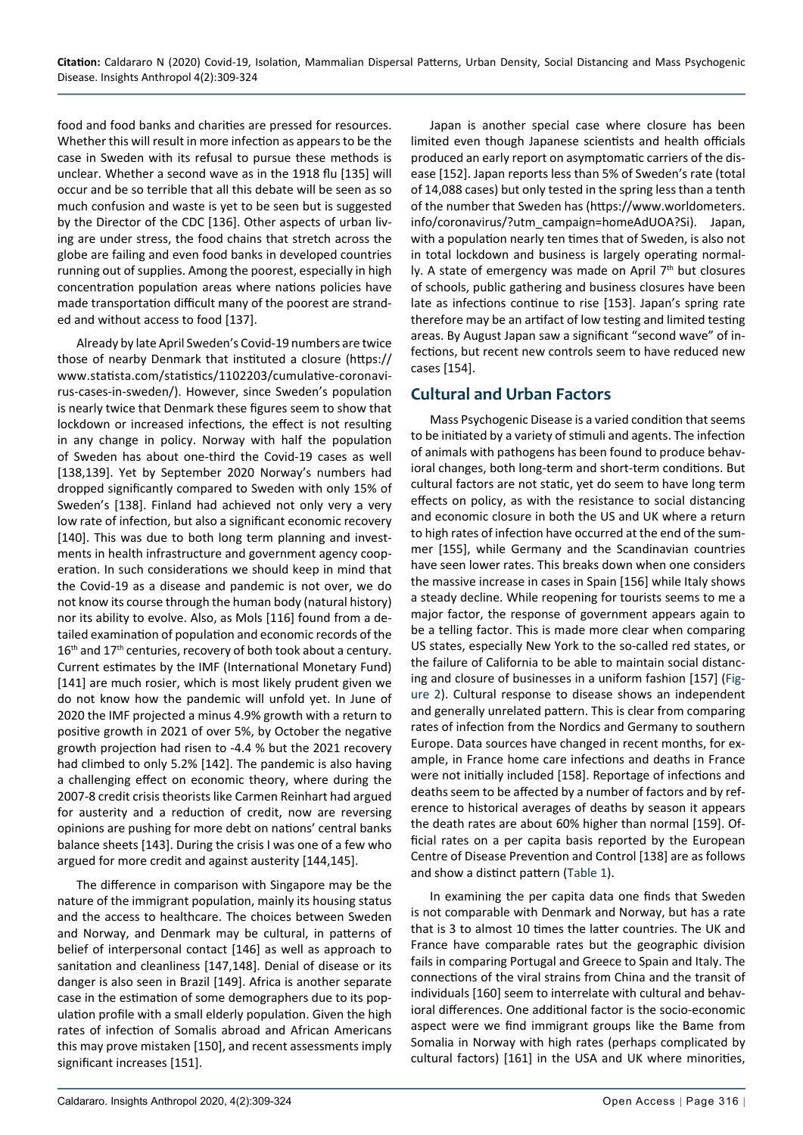food and food banks and charities are pressed for resources. Whether this will result in more infection as appears to be the case in Sweden with its refusal to pursue these methods is unclear. Whether a second wave as in the 1918 flu [135] will occur and be so terrible that all this debate will be seen as so much confusion and waste is yet to be seen but is suggested by the Director of the CDC [136]. Other aspects of urban living are under stress, the food chains that stretch across the globe are failing and even food banks in developed countries running out of supplies. Among the poorest, especially in high concentration population areas where nations policies have made transportation difficult many of the poorest are stranded and without access to food [137].

Already by late April Sweden's Covid-19 numbers are twice those of nearby Denmark that instituted a closure (https:// www.statista.com/statistics/1102203/cumulative-coronavirus-cases-in-sweden/). However, since Sweden's population is nearly twice that Denmark these figures seem to show that lockdown or increased infections, the effect is not resulting in any change in policy. Norway with half the population of Sweden has about one-third the Covid-19 cases as well [138,139]. Yet by September 2020 Norway's numbers had dropped significantly compared to Sweden with only 15% of Sweden's [138]. Finland had achieved not only very a very low rate of infection, but also a significant economic recovery [140]. This was due to both long term planning and investments in health infrastructure and government agency cooperation. In such considerations we should keep in mind that the Covid-19 as a disease and pandemic is not over, we do not know its course through the human body (natural history) nor its ability to evolve. Also, as Mols [116] found from a detailed examination of population and economic records of the 16<sup>th</sup> and 17<sup>th</sup> centuries, recovery of both took about a century. Current estimates by the IMF (International Monetary Fund) [141] are much rosier, which is most likely prudent given we do not know how the pandemic will unfold yet. In June of 2020 the IMF projected a minus 4.9% growth with a return to positive growth in 2021 of over 5%, by October the negative growth projection had risen to -4.4 % but the 2021 recovery had climbed to only 5.2% [142]. The pandemic is also having a challenging effect on economic theory, where during the 2007-8 credit crisis theorists like Carmen Reinhart had argued for austerity and a reduction of credit, now are reversing opinions are pushing for more debt on nations' central banks balance sheets [143]. During the crisis I was one of a few who argued for more credit and against austerity [144,145].

The difference in comparison with Singapore may be the nature of the immigrant population, mainly its housing status and the access to healthcare. The choices between Sweden and Norway, and Denmark may be cultural, in patterns of belief of interpersonal contact [146] as well as approach to sanitation and cleanliness [147,148]. Denial of disease or its danger is also seen in Brazil [149]. Africa is another separate case in the estimation of some demographers due to its population profile with a small elderly population. Given the high rates of infection of Somalis abroad and African Americans this may prove mistaken [150], and recent assessments imply significant increases [151].

Japan is another special case where closure has been limited even though Japanese scientists and health officials produced an early report on asymptomatic carriers of the disease [152]. Japan reports less than 5% of Sweden's rate (total of 14,088 cases) but only tested in the spring less than a tenth of the number that Sweden has ([https://www.worldometers.](https://www.worldometers.info/coronavirus/?utm_campaign=homeAdUOA?Si) [info/coronavirus/?utm\\_campaign=homeAdUOA?Si](https://www.worldometers.info/coronavirus/?utm_campaign=homeAdUOA?Si)). Japan, with a population nearly ten times that of Sweden, is also not in total lockdown and business is largely operating normally. A state of emergency was made on April 7<sup>th</sup> but closures of schools, public gathering and business closures have been late as infections continue to rise [153]. Japan's spring rate therefore may be an artifact of low testing and limited testing areas. By August Japan saw a significant "second wave" of infections, but recent new controls seem to have reduced new cases [154].

## **Cultural and Urban Factors**

Mass Psychogenic Disease is a varied condition that seems to be initiated by a variety of stimuli and agents. The infection of animals with pathogens has been found to produce behavioral changes, both long-term and short-term conditions. But cultural factors are not static, yet do seem to have long term effects on policy, as with the resistance to social distancing and economic closure in both the US and UK where a return to high rates of infection have occurred at the end of the summer [155], while Germany and the Scandinavian countries have seen lower rates. This breaks down when one considers the massive increase in cases in Spain [156] while Italy shows a steady decline. While reopening for tourists seems to me a major factor, the response of government appears again to be a telling factor. This is made more clear when comparing US states, especially New York to the so-called red states, or the failure of California to be able to maintain social distancing and closure of businesses in a uniform fashion [157] [\(Fig](#page-8-0)[ure](#page-8-0) 2). Cultural response to disease shows an independent and generally unrelated pattern. This is clear from comparing rates of infection from the Nordics and Germany to southern Europe. Data sources have changed in recent months, for example, in France home care infections and deaths in France were not initially included [158]. Reportage of infections and deaths seem to be affected by a number of factors and by reference to historical averages of deaths by season it appears the death rates are about 60% higher than normal [159]. Official rates on a per capita basis reported by the European Centre of Disease Prevention and Control [138] are as follows and show a distinct pattern ([Table 1](#page-9-0)).

In examining the per capita data one finds that Sweden is not comparable with Denmark and Norway, but has a rate that is 3 to almost 10 times the latter countries. The UK and France have comparable rates but the geographic division fails in comparing Portugal and Greece to Spain and Italy. The connections of the viral strains from China and the transit of individuals [160] seem to interrelate with cultural and behavioral differences. One additional factor is the socio-economic aspect were we find immigrant groups like the Bame from Somalia in Norway with high rates (perhaps complicated by cultural factors) [161] in the USA and UK where minorities,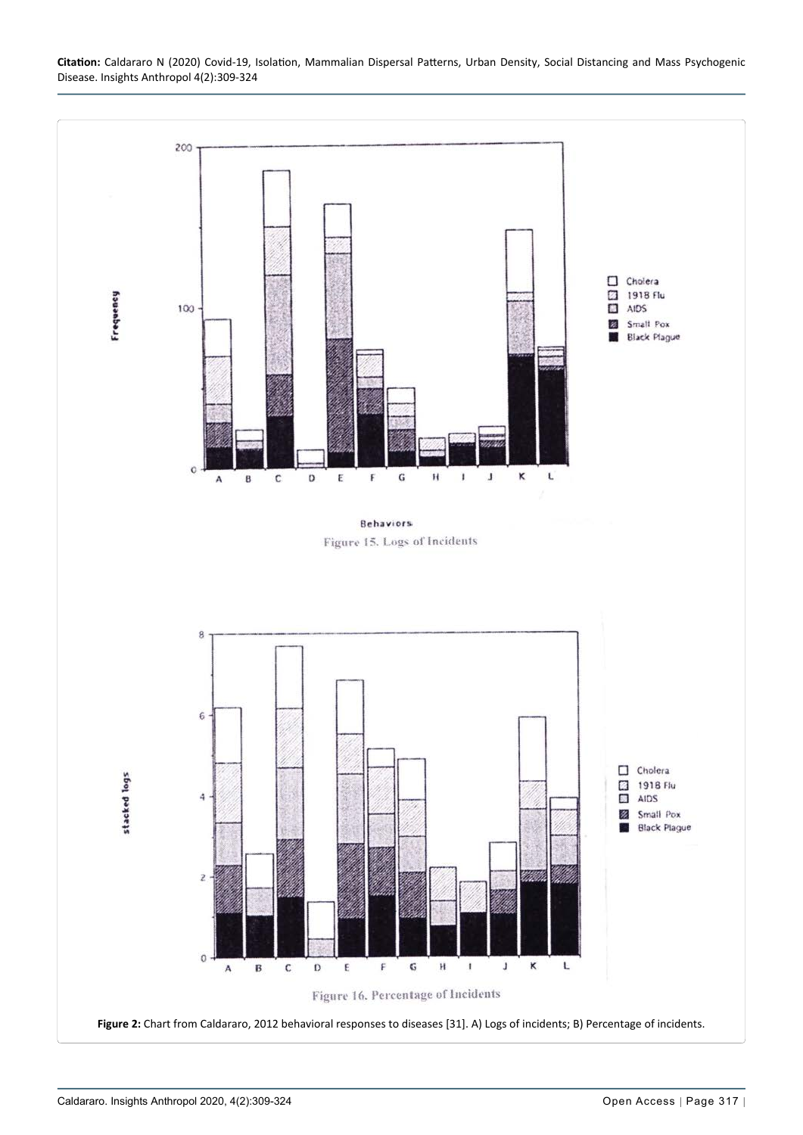

<span id="page-8-0"></span>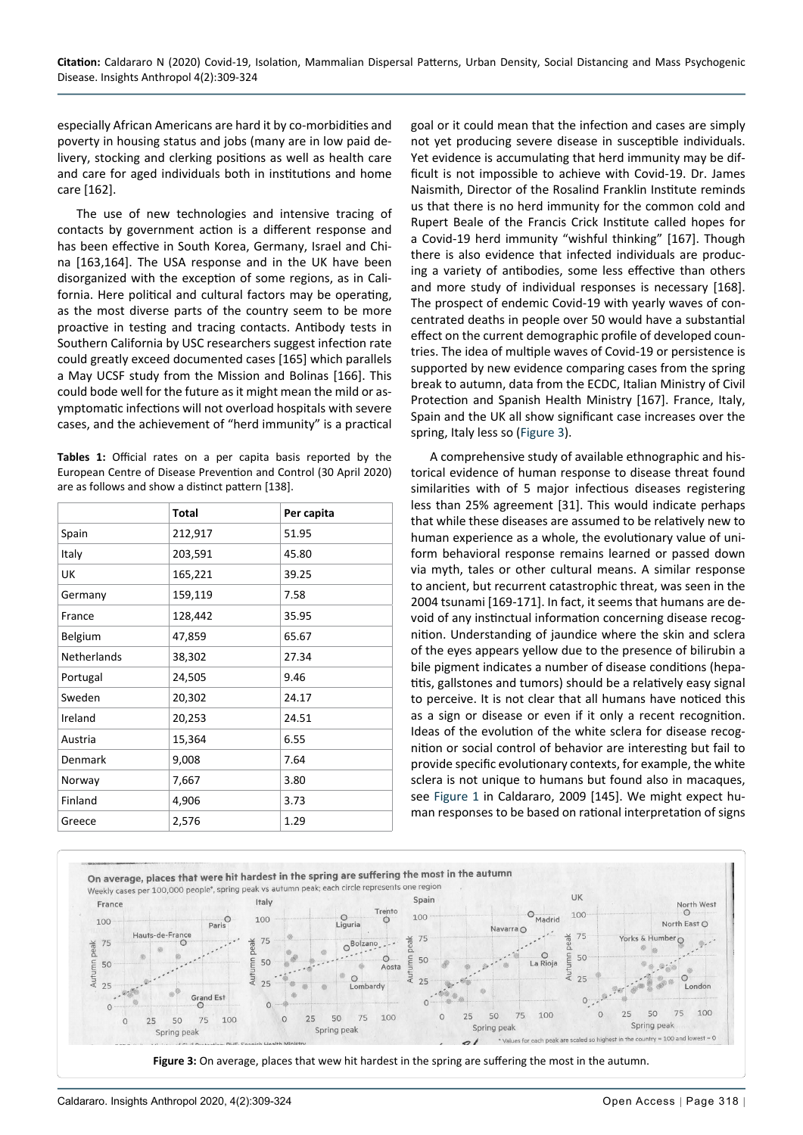especially African Americans are hard it by co-morbidities and poverty in housing status and jobs (many are in low paid delivery, stocking and clerking positions as well as health care and care for aged individuals both in institutions and home care [162].

The use of new technologies and intensive tracing of contacts by government action is a different response and has been effective in South Korea, Germany, Israel and China [163,164]. The USA response and in the UK have been disorganized with the exception of some regions, as in California. Here political and cultural factors may be operating, as the most diverse parts of the country seem to be more proactive in testing and tracing contacts. Antibody tests in Southern California by USC researchers suggest infection rate could greatly exceed documented cases [165] which parallels a May UCSF study from the Mission and Bolinas [166]. This could bode well for the future as it might mean the mild or asymptomatic infections will not overload hospitals with severe cases, and the achievement of "herd immunity" is a practical

<span id="page-9-0"></span>**Tables 1:** Official rates on a per capita basis reported by the European Centre of Disease Prevention and Control (30 April 2020) are as follows and show a distinct pattern [138].

|                    | <b>Total</b> | Per capita |
|--------------------|--------------|------------|
| Spain              | 212,917      | 51.95      |
| Italy              | 203,591      | 45.80      |
| UK                 | 165,221      | 39.25      |
| Germany            | 159,119      | 7.58       |
| France             | 128,442      | 35.95      |
| Belgium            | 47,859       | 65.67      |
| <b>Netherlands</b> | 38,302       | 27.34      |
| Portugal           | 24,505       | 9.46       |
| Sweden             | 20,302       | 24.17      |
| Ireland            | 20,253       | 24.51      |
| Austria            | 15,364       | 6.55       |
| Denmark            | 9,008        | 7.64       |
| Norway             | 7,667        | 3.80       |
| Finland            | 4,906        | 3.73       |
| Greece             | 2,576        | 1.29       |

goal or it could mean that the infection and cases are simply not yet producing severe disease in susceptible individuals. Yet evidence is accumulating that herd immunity may be difficult is not impossible to achieve with Covid-19. Dr. James Naismith, Director of the Rosalind Franklin Institute reminds us that there is no herd immunity for the common cold and Rupert Beale of the Francis Crick Institute called hopes for a Covid-19 herd immunity "wishful thinking" [167]. Though there is also evidence that infected individuals are producing a variety of antibodies, some less effective than others and more study of individual responses is necessary [168]. The prospect of endemic Covid-19 with yearly waves of concentrated deaths in people over 50 would have a substantial effect on the current demographic profile of developed countries. The idea of multiple waves of Covid-19 or persistence is supported by new evidence comparing cases from the spring break to autumn, data from the ECDC, Italian Ministry of Civil Protection and Spanish Health Ministry [167]. France, Italy, Spain and the UK all show significant case increases over the spring, Italy less so ([Figure 3\)](#page-9-1).

A comprehensive study of available ethnographic and historical evidence of human response to disease threat found similarities with of 5 major infectious diseases registering less than 25% agreement [31]. This would indicate perhaps that while these diseases are assumed to be relatively new to human experience as a whole, the evolutionary value of uniform behavioral response remains learned or passed down via myth, tales or other cultural means. A similar response to ancient, but recurrent catastrophic threat, was seen in the 2004 tsunami [169-171]. In fact, it seems that humans are devoid of any instinctual information concerning disease recognition. Understanding of jaundice where the skin and sclera of the eyes appears yellow due to the presence of bilirubin a bile pigment indicates a number of disease conditions (hepatitis, gallstones and tumors) should be a relatively easy signal to perceive. It is not clear that all humans have noticed this as a sign or disease or even if it only a recent recognition. Ideas of the evolution of the white sclera for disease recognition or social control of behavior are interesting but fail to provide specific evolutionary contexts, for example, the white sclera is not unique to humans but found also in macaques, see [Figure 1](#page-4-0) in Caldararo, 2009 [145]. We might expect human responses to be based on rational interpretation of signs

<span id="page-9-1"></span>

**Figure 3:** On average, places that wew hit hardest in the spring are suffering the most in the autumn.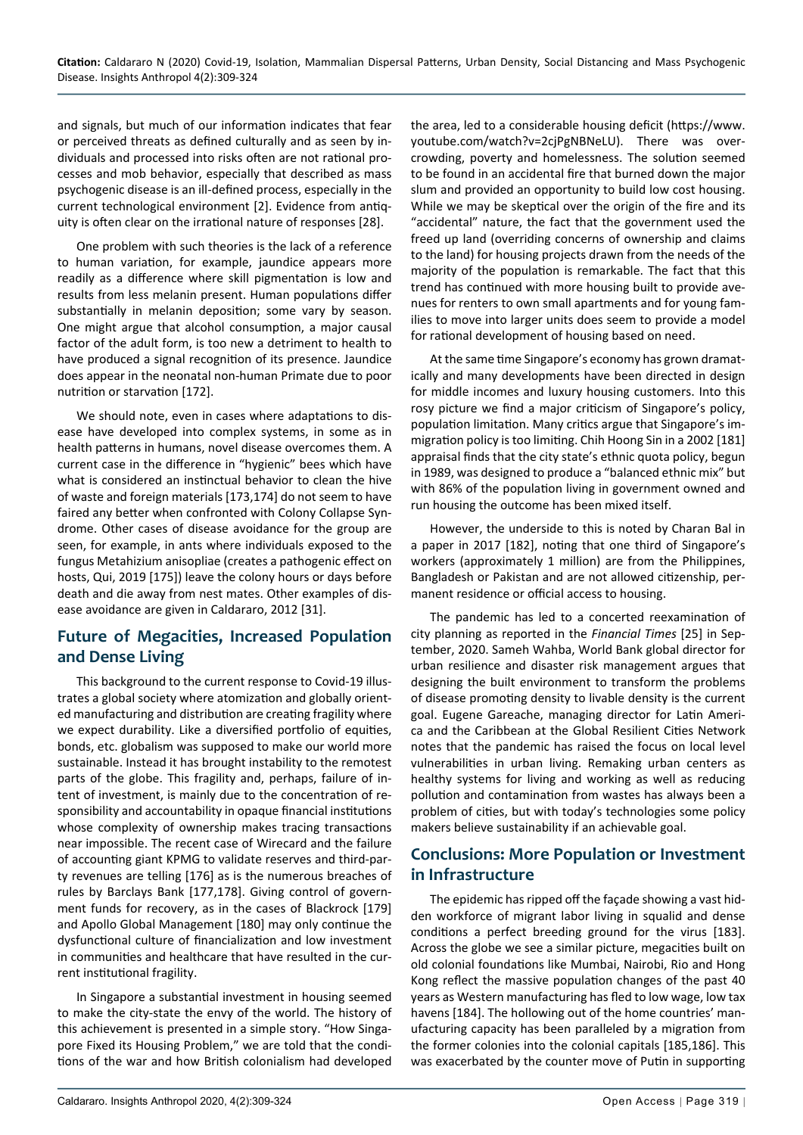and signals, but much of our information indicates that fear or perceived threats as defined culturally and as seen by individuals and processed into risks often are not rational processes and mob behavior, especially that described as mass psychogenic disease is an ill-defined process, especially in the current technological environment [2]. Evidence from antiquity is often clear on the irrational nature of responses [28].

One problem with such theories is the lack of a reference to human variation, for example, jaundice appears more readily as a difference where skill pigmentation is low and results from less melanin present. Human populations differ substantially in melanin deposition; some vary by season. One might argue that alcohol consumption, a major causal factor of the adult form, is too new a detriment to health to have produced a signal recognition of its presence. Jaundice does appear in the neonatal non-human Primate due to poor nutrition or starvation [172].

We should note, even in cases where adaptations to disease have developed into complex systems, in some as in health patterns in humans, novel disease overcomes them. A current case in the difference in "hygienic" bees which have what is considered an instinctual behavior to clean the hive of waste and foreign materials [173,174] do not seem to have faired any better when confronted with Colony Collapse Syndrome. Other cases of disease avoidance for the group are seen, for example, in ants where individuals exposed to the fungus Metahizium anisopliae (creates a pathogenic effect on hosts, Qui, 2019 [175]) leave the colony hours or days before death and die away from nest mates. Other examples of disease avoidance are given in Caldararo, 2012 [31].

## **Future of Megacities, Increased Population and Dense Living**

This background to the current response to Covid-19 illustrates a global society where atomization and globally oriented manufacturing and distribution are creating fragility where we expect durability. Like a diversified portfolio of equities, bonds, etc. globalism was supposed to make our world more sustainable. Instead it has brought instability to the remotest parts of the globe. This fragility and, perhaps, failure of intent of investment, is mainly due to the concentration of responsibility and accountability in opaque financial institutions whose complexity of ownership makes tracing transactions near impossible. The recent case of Wirecard and the failure of accounting giant KPMG to validate reserves and third-party revenues are telling [176] as is the numerous breaches of rules by Barclays Bank [177,178]. Giving control of government funds for recovery, as in the cases of Blackrock [179] and Apollo Global Management [180] may only continue the dysfunctional culture of financialization and low investment in communities and healthcare that have resulted in the current institutional fragility.

In Singapore a substantial investment in housing seemed to make the city-state the envy of the world. The history of this achievement is presented in a simple story. "How Singapore Fixed its Housing Problem," we are told that the conditions of the war and how British colonialism had developed the area, led to a considerable housing deficit (https://www. youtube.com/watch?v=2cjPgNBNeLU). There was overcrowding, poverty and homelessness. The solution seemed to be found in an accidental fire that burned down the major slum and provided an opportunity to build low cost housing. While we may be skeptical over the origin of the fire and its "accidental" nature, the fact that the government used the freed up land (overriding concerns of ownership and claims to the land) for housing projects drawn from the needs of the majority of the population is remarkable. The fact that this trend has continued with more housing built to provide avenues for renters to own small apartments and for young families to move into larger units does seem to provide a model for rational development of housing based on need.

At the same time Singapore's economy has grown dramatically and many developments have been directed in design for middle incomes and luxury housing customers. Into this rosy picture we find a major criticism of Singapore's policy, population limitation. Many critics argue that Singapore's immigration policy is too limiting. Chih Hoong Sin in a 2002 [181] appraisal finds that the city state's ethnic quota policy, begun in 1989, was designed to produce a "balanced ethnic mix" but with 86% of the population living in government owned and run housing the outcome has been mixed itself.

However, the underside to this is noted by Charan Bal in a paper in 2017 [182], noting that one third of Singapore's workers (approximately 1 million) are from the Philippines, Bangladesh or Pakistan and are not allowed citizenship, permanent residence or official access to housing.

The pandemic has led to a concerted reexamination of city planning as reported in the *Financial Times* [25] in September, 2020. Sameh Wahba, World Bank global director for urban resilience and disaster risk management argues that designing the built environment to transform the problems of disease promoting density to livable density is the current goal. Eugene Gareache, managing director for Latin America and the Caribbean at the Global Resilient Cities Network notes that the pandemic has raised the focus on local level vulnerabilities in urban living. Remaking urban centers as healthy systems for living and working as well as reducing pollution and contamination from wastes has always been a problem of cities, but with today's technologies some policy makers believe sustainability if an achievable goal.

## **Conclusions: More Population or Investment in Infrastructure**

The epidemic has ripped off the façade showing a vast hidden workforce of migrant labor living in squalid and dense conditions a perfect breeding ground for the virus [183]. Across the globe we see a similar picture, megacities built on old colonial foundations like Mumbai, Nairobi, Rio and Hong Kong reflect the massive population changes of the past 40 years as Western manufacturing has fled to low wage, low tax havens [184]. The hollowing out of the home countries' manufacturing capacity has been paralleled by a migration from the former colonies into the colonial capitals [185,186]. This was exacerbated by the counter move of Putin in supporting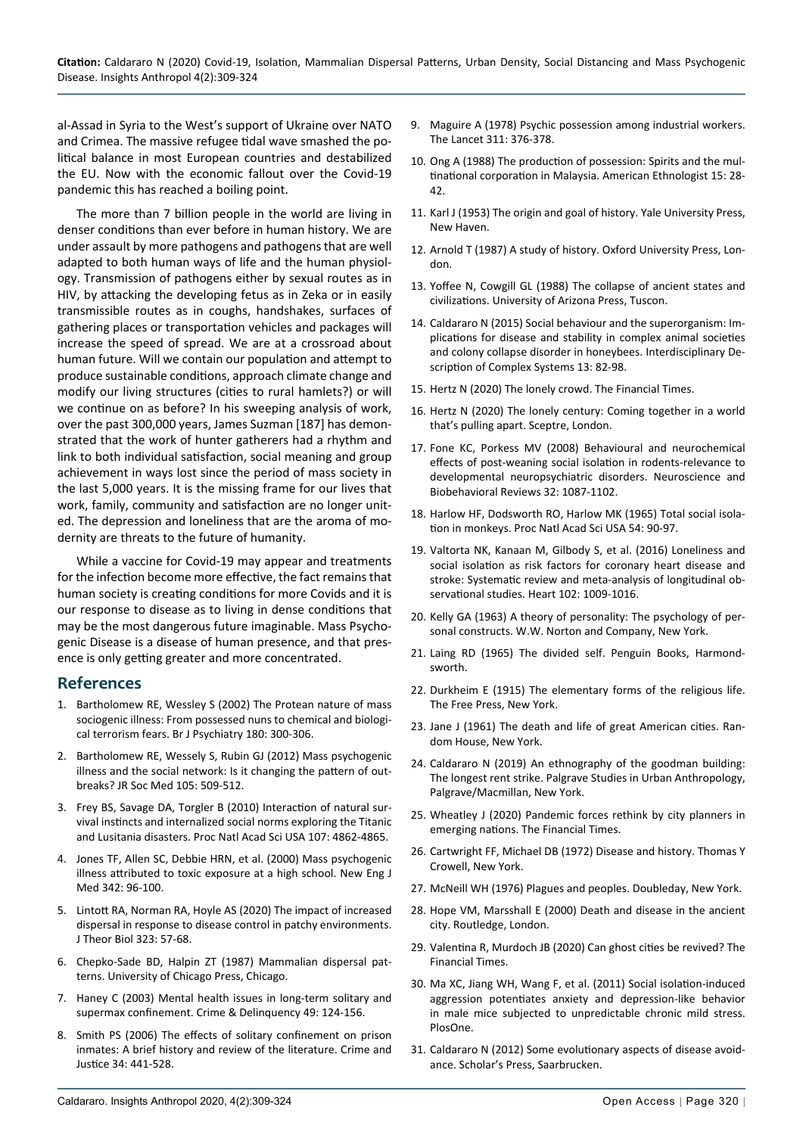al-Assad in Syria to the West's support of Ukraine over NATO and Crimea. The massive refugee tidal wave smashed the political balance in most European countries and destabilized the EU. Now with the economic fallout over the Covid-19 pandemic this has reached a boiling point.

The more than 7 billion people in the world are living in denser conditions than ever before in human history. We are under assault by more pathogens and pathogens that are well adapted to both human ways of life and the human physiology. Transmission of pathogens either by sexual routes as in HIV, by attacking the developing fetus as in Zeka or in easily transmissible routes as in coughs, handshakes, surfaces of gathering places or transportation vehicles and packages will increase the speed of spread. We are at a crossroad about human future. Will we contain our population and attempt to produce sustainable conditions, approach climate change and modify our living structures (cities to rural hamlets?) or will we continue on as before? In his sweeping analysis of work, over the past 300,000 years, James Suzman [187] has demonstrated that the work of hunter gatherers had a rhythm and link to both individual satisfaction, social meaning and group achievement in ways lost since the period of mass society in the last 5,000 years. It is the missing frame for our lives that work, family, community and satisfaction are no longer united. The depression and loneliness that are the aroma of modernity are threats to the future of humanity.

While a vaccine for Covid-19 may appear and treatments for the infection become more effective, the fact remains that human society is creating conditions for more Covids and it is our response to disease as to living in dense conditions that may be the most dangerous future imaginable. Mass Psychogenic Disease is a disease of human presence, and that presence is only getting greater and more concentrated.

#### **References**

- 1. [Bartholomew RE, Wessley S \(2002\) The Protean nature of mass](https://pubmed.ncbi.nlm.nih.gov/11925351/)  [sociogenic illness: From possessed nuns to chemical and biologi](https://pubmed.ncbi.nlm.nih.gov/11925351/)[cal terrorism fears. Br J Psychiatry 180: 300-306.](https://pubmed.ncbi.nlm.nih.gov/11925351/)
- 2. [Bartholomew RE, Wessely S, Rubin GJ \(2012\) Mass psychogenic](https://www.ncbi.nlm.nih.gov/pmc/articles/PMC3536509/)  [illness and the social network: Is it changing the pattern of out](https://www.ncbi.nlm.nih.gov/pmc/articles/PMC3536509/)[breaks? JR Soc Med 105: 509-512.](https://www.ncbi.nlm.nih.gov/pmc/articles/PMC3536509/)
- 3. [Frey BS, Savage DA, Torgler B \(2010\) Interaction of natural sur](https://www.ncbi.nlm.nih.gov/pmc/articles/PMC2841937/)[vival instincts and internalized social norms exploring the Titanic](https://www.ncbi.nlm.nih.gov/pmc/articles/PMC2841937/)  [and Lusitania disasters. Proc Natl Acad Sci USA 107: 4862-4865.](https://www.ncbi.nlm.nih.gov/pmc/articles/PMC2841937/)
- 4. [Jones TF, Allen SC, Debbie HRN, et al. \(2000\) Mass psychogenic](https://www.nejm.org/doi/full/10.1056/nejm200001133420206)  [illness attributed to toxic exposure at a high school. New Eng J](https://www.nejm.org/doi/full/10.1056/nejm200001133420206)  Med [342: 96-100.](https://www.nejm.org/doi/full/10.1056/nejm200001133420206)
- 5. [Lintott RA, Norman RA, Hoyle AS \(2020\) The impact of increased](https://pubmed.ncbi.nlm.nih.gov/23399594/)  [dispersal in response to disease control in patchy environments.](https://pubmed.ncbi.nlm.nih.gov/23399594/)  [J Theor Biol 323: 57-68.](https://pubmed.ncbi.nlm.nih.gov/23399594/)
- 6. [Chepko-Sade BD, Halpin ZT \(1987\) Mammalian dispersal pat](https://press.uchicago.edu/ucp/books/book/chicago/M/bo5967272.html)[terns. University of Chicago Press, Chicago.](https://press.uchicago.edu/ucp/books/book/chicago/M/bo5967272.html)
- 7. [Haney C \(2003\) Mental health issues in long-term solitary and](https://journals.sagepub.com/doi/abs/10.1177/0011128702239239)  [supermax confinement. Crime & Delinquency 49: 124-156.](https://journals.sagepub.com/doi/abs/10.1177/0011128702239239)
- 8. [Smith PS \(2006\) The effects of solitary confinement on prison](https://www.jstor.org/stable/10.1086/500626?seq=1#metadata_info_tab_contents)  [inmates: A brief history and review of the literature. Crime and](https://www.jstor.org/stable/10.1086/500626?seq=1#metadata_info_tab_contents)  [Justice 34: 441-528.](https://www.jstor.org/stable/10.1086/500626?seq=1#metadata_info_tab_contents)
- 9. Maguire A (1978) Psychic possession among industrial workers. The Lancet 311: 376-378.
- 10. [Ong A \(1988\) The production of possession: Spirits and the mul](https://anthrosource.onlinelibrary.wiley.com/doi/10.1525/ae.1988.15.1.02a00030)[tinational corporation in Malaysia. American Ethnologist 15: 28-](https://anthrosource.onlinelibrary.wiley.com/doi/10.1525/ae.1988.15.1.02a00030) [42.](https://anthrosource.onlinelibrary.wiley.com/doi/10.1525/ae.1988.15.1.02a00030)
- 11. [Karl J \(1953\) The origin and goal of history. Yale University Press,](https://www.worldcat.org/title/origin-and-goal-of-history/oclc/392622)  [New Haven.](https://www.worldcat.org/title/origin-and-goal-of-history/oclc/392622)
- 12. Arnold T (1987) A study of history. Oxford University Press, London.
- 13. Yoffee N, Cowgill GL (1988) The collapse of ancient states and civilizations. University of Arizona Press, Tuscon.
- 14. [Caldararo N \(2015\) Social behaviour and the superorganism: Im](https://ideas.repec.org/a/zna/indecs/v13y2015i1p82-98.html)[plications for disease and stability in complex animal societies](https://ideas.repec.org/a/zna/indecs/v13y2015i1p82-98.html)  [and colony collapse disorder in honeybees. Interdisciplinary De](https://ideas.repec.org/a/zna/indecs/v13y2015i1p82-98.html)[scription of Complex Systems 13: 82-98.](https://ideas.repec.org/a/zna/indecs/v13y2015i1p82-98.html)
- 15. Hertz N (2020) The lonely crowd. The Financial Times.
- 16. [Hertz N \(2020\) The lonely century: Coming together in a world](https://www.hachette.com.au/noreena-hertz/the-lonely-century-coming-together-in-a-world-thats-pulling-apart)  [that's pulling apart. Sceptre, London.](https://www.hachette.com.au/noreena-hertz/the-lonely-century-coming-together-in-a-world-thats-pulling-apart)
- 17. [Fone KC, Porkess MV \(2008\) Behavioural and neurochemical](https://pubmed.ncbi.nlm.nih.gov/18423591/)  [effects of post-weaning social isolation in rodents-relevance to](https://pubmed.ncbi.nlm.nih.gov/18423591/)  [developmental neuropsychiatric disorders.](https://pubmed.ncbi.nlm.nih.gov/18423591/) Neuroscience and [Biobehavioral Reviews](https://pubmed.ncbi.nlm.nih.gov/18423591/) 32: 1087-1102.
- 18. [Harlow HF, Dodsworth RO, Harlow MK \(1965\) Total social isola](https://www.ncbi.nlm.nih.gov/pmc/articles/PMC285801/)[tion in monkeys. Proc Natl Acad Sci USA 54: 90-97.](https://www.ncbi.nlm.nih.gov/pmc/articles/PMC285801/)
- 19. [Valtorta NK, Kanaan M, Gilbody S, et al. \(2016\)](https://pubmed.ncbi.nlm.nih.gov/27091846/) Loneliness and [social isolation as risk factors for coronary heart disease and](https://pubmed.ncbi.nlm.nih.gov/27091846/)  [stroke: Systematic review and meta-analysis of longitudinal ob](https://pubmed.ncbi.nlm.nih.gov/27091846/)servational studies. [Heart 102: 1009-1016.](https://pubmed.ncbi.nlm.nih.gov/27091846/)
- 20. Kelly GA (1963) A theory of personality: The psychology of personal constructs. W.W. Norton and Company, New York.
- 21. Laing RD (1965) The divided self. Penguin Books, Harmondsworth.
- 22. [Durkheim E \(1915\) The elementary forms of the religious life.](https://monoskop.org/images/a/a2/Durkheim_Emile_The_Elementary_Forms_of_Religious_life_1995.pdf)  [The Free Press, New York.](https://monoskop.org/images/a/a2/Durkheim_Emile_The_Elementary_Forms_of_Religious_life_1995.pdf)
- 23. [Jane J \(1961\) The death and life of great American cities. Ran](https://en.wikipedia.org/wiki/The_Death_and_Life_of_Great_American_Cities)[dom House, New York.](https://en.wikipedia.org/wiki/The_Death_and_Life_of_Great_American_Cities)
- 24. Caldararo N (2019) An ethnography of the goodman building: The longest rent strike. Palgrave Studies in Urban Anthropology, Palgrave/Macmillan, New York.
- 25. Wheatley J (2020) Pandemic forces rethink by city planners in emerging nations. The Financial Times.
- 26. Cartwright FF, Michael DB (1972) Disease and history. Thomas Y Crowell, New York.
- 27. [McNeill WH \(1976\) Plagues and peoples. Doubleday, New York.](https://en.wikipedia.org/wiki/Plagues_and_Peoples)
- 28. Hope VM, Marsshall E (2000) Death and disease in the ancient city. Routledge, London.
- 29. Valentina R, Murdoch JB (2020) Can ghost cities be revived? The Financial Times.
- 30. [Ma XC, Jiang WH, Wang F, et al. \(2011\) Social isolation-induced](https://pubmed.ncbi.nlm.nih.gov/21698062/)  [aggression potentiates anxiety and depression-like behavior](https://pubmed.ncbi.nlm.nih.gov/21698062/)  [in male mice subjected to unpredictable chronic mild stress.](https://pubmed.ncbi.nlm.nih.gov/21698062/)  [PlosOne.](https://pubmed.ncbi.nlm.nih.gov/21698062/)
- 31. Caldararo N (2012) Some evolutionary aspects of disease avoidance. Scholar's Press, Saarbrucken.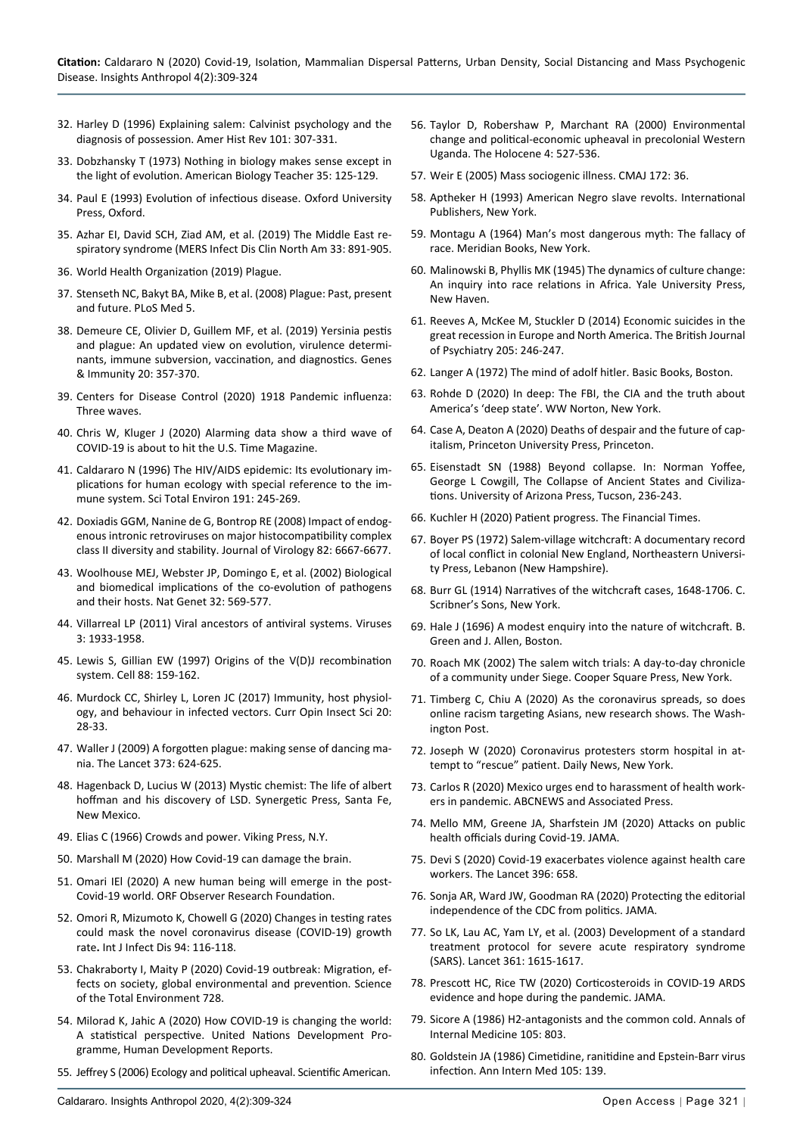- 32. Harley D (1996) Explaining salem: Calvinist psychology and the diagnosis of possession. Amer Hist Rev 101: 307-331.
- 33. [Dobzhansky T \(1973\) Nothing in biology makes sense except in](https://online.ucpress.edu/abt/article/35/3/125/9833/Nothing-in-Biology-Makes-Sense-except-in-the-Light)  [the light of evolution. American Biology Teacher 35: 125-129.](https://online.ucpress.edu/abt/article/35/3/125/9833/Nothing-in-Biology-Makes-Sense-except-in-the-Light)
- 34. [Paul E \(1993\) Evolution of infectious disease. Oxford University](https://en.wikipedia.org/wiki/Evolution_of_Infectious_Disease)  [Press, Oxford.](https://en.wikipedia.org/wiki/Evolution_of_Infectious_Disease)
- 35. [Azhar EI, David SCH, Ziad AM, et al. \(2019\) The Middle East re](https://pubmed.ncbi.nlm.nih.gov/31668197/)[spiratory syndrome \(MERS Infect Dis Clin North Am 33: 891-905.](https://pubmed.ncbi.nlm.nih.gov/31668197/)
- 36. [World Health Organization \(2019\) Plague.](https://www.who.int/ith/diseases/plague/en/)
- 37. [Stenseth NC, Bakyt BA, Mike B, et al. \(2008\) Plague: Past, present](https://journals.plos.org/plosmedicine/article?id=10.1371/journal.pmed.0050003)  [and future. PLoS Med 5.](https://journals.plos.org/plosmedicine/article?id=10.1371/journal.pmed.0050003)
- 38. [Demeure CE, Olivier D, Guillem MF, et al. \(2019\) Yersinia pestis](https://www.nature.com/articles/s41435-019-0065-0)  [and plague: An updated view on evolution, virulence determi](https://www.nature.com/articles/s41435-019-0065-0)[nants, immune subversion, vaccination, and diagnostics. Genes](https://www.nature.com/articles/s41435-019-0065-0)  [& Immunity 20:](https://www.nature.com/articles/s41435-019-0065-0) 357-370.
- 39. [Centers for Disease Control \(2020\) 1918 Pandemic influenza:](https://www.cdc.gov/flu/pandemic-resources/1918-commemoration/three-waves.htm)  [Three waves.](https://www.cdc.gov/flu/pandemic-resources/1918-commemoration/three-waves.htm)
- 40. [Chris W, Kluger J \(2020\) Alarming data show a third wave of](https://time.com/5893916/covid-19-coronavirus-third-wave/)  [COVID-19 is about to hit the U.S. Time Magazine.](https://time.com/5893916/covid-19-coronavirus-third-wave/)
- 41. [Caldararo N \(1996\) The HIV/AIDS epidemic: Its evolutionary im](https://pubmed.ncbi.nlm.nih.gov/8931346/)[plications for human ecology with special reference to the im](https://pubmed.ncbi.nlm.nih.gov/8931346/)[mune system. Sci Total Environ 191: 245-269.](https://pubmed.ncbi.nlm.nih.gov/8931346/)
- 42. [Doxiadis GGM, Nanine de G, Bontrop RE \(2008\) Impact of endog](https://jvi.asm.org/content/jvi/82/13/6667.full.pdf)[enous intronic retroviruses on major histocompatibility complex](https://jvi.asm.org/content/jvi/82/13/6667.full.pdf)  [class II diversity and stability. Journal of Virology 82: 6667-6677.](https://jvi.asm.org/content/jvi/82/13/6667.full.pdf)
- 43. [Woolhouse MEJ, Webster JP, Domingo E, et al. \(2002\) Biological](https://pubmed.ncbi.nlm.nih.gov/12457190/)  [and biomedical implications of the co-evolution of pathogens](https://pubmed.ncbi.nlm.nih.gov/12457190/)  [and their hosts. Nat Genet 32: 569-577.](https://pubmed.ncbi.nlm.nih.gov/12457190/)
- 44. [Villarreal LP \(2011\) Viral ancestors of antiviral systems. Viruses](https://pubmed.ncbi.nlm.nih.gov/22069523/)  [3: 1933-1958.](https://pubmed.ncbi.nlm.nih.gov/22069523/)
- 45. [Lewis S, Gillian EW \(1997\) Origins of the V\(D\)J recombination](https://pubmed.ncbi.nlm.nih.gov/9008155/)  [system. Cell 88: 159-162.](https://pubmed.ncbi.nlm.nih.gov/9008155/)
- 46. [Murdock CC, Shirley L, Loren JC \(2017\) Immunity, host physiol](https://pubmed.ncbi.nlm.nih.gov/28602233/)[ogy, and behaviour in infected vectors. Curr Opin Insect Sci 20:](https://pubmed.ncbi.nlm.nih.gov/28602233/)  [28-33.](https://pubmed.ncbi.nlm.nih.gov/28602233/)
- 47. [Waller J \(2009\) A forgotten plague: making sense of dancing ma](https://www.thelancet.com/journals/lancet/article/PIIS014067360960386X/fulltext)[nia. The Lancet 373: 624-625.](https://www.thelancet.com/journals/lancet/article/PIIS014067360960386X/fulltext)
- 48. Hagenback D, Lucius W (2013) Mystic chemist: The life of albert hoffman and his discovery of LSD. Synergetic Press, Santa Fe, New Mexico.
- 49. Elias C (1966) Crowds and power. Viking Press, N.Y.
- 50. [Marshall M \(2020\) How Covid-19 can damage the brain.](https://www.nature.com/articles/d41586-020-02599-5)
- 51. [Omari IEl \(2020\) A new human being will emerge in the post-](https://www.orfonline.org/expert-speak/a-new-human-being-will-emege-in-the-post-covid-19-world-64275/)[Covid-19 world. ORF Observer Research Foundation.](https://www.orfonline.org/expert-speak/a-new-human-being-will-emege-in-the-post-covid-19-world-64275/)
- 52. [Omori R, Mizumoto K, Chowell G \(2020\) Changes in testing rates](https://pubmed.ncbi.nlm.nih.gov/32320809/)  [could mask the novel coronavirus disease \(COVID-19\) growth](https://pubmed.ncbi.nlm.nih.gov/32320809/)  rate**.** [Int J Infect Dis 94: 116-118.](https://pubmed.ncbi.nlm.nih.gov/32320809/)
- 53. [Chakraborty I, Maity P \(2020\) Covid-19 outbreak: Migration, ef](https://www.sciencedirect.com/science/article/abs/pii/S0048969720323998?via%3Dihub)[fects on society, global environmental and prevention. Science](https://www.sciencedirect.com/science/article/abs/pii/S0048969720323998?via%3Dihub)  [of the Total Environment 728.](https://www.sciencedirect.com/science/article/abs/pii/S0048969720323998?via%3Dihub)
- 54. [Milorad K, Jahic A \(2020\) How COVID-19 is changing the world:](http://hdr.undp.org/en/content/how-covid-19-changing-world-statistical-perspective)  [A statistical perspective. United Nations Development Pro](http://hdr.undp.org/en/content/how-covid-19-changing-world-statistical-perspective)[gramme, Human Development Reports.](http://hdr.undp.org/en/content/how-covid-19-changing-world-statistical-perspective)
- 55. [Jeffrey S \(2006\) Ecology and political upheaval. Scientific American.](https://www.scientificamerican.com/article/ecology-and-political-uph/)
- 56. [Taylor D, Robershaw P, Marchant RA \(2000\) Environmental](https://journals.sagepub.com/doi/abs/10.1191/095968300674333176)  [change and political-economic upheaval in precolonial Western](https://journals.sagepub.com/doi/abs/10.1191/095968300674333176)  [Uganda. The Holocene 4: 527-536.](https://journals.sagepub.com/doi/abs/10.1191/095968300674333176)
- 57. [Weir E \(2005\) Mass sociogenic illness. CMAJ 172: 36.](https://www.cmaj.ca/content/172/1/36.abstract)
- 58. Aptheker H (1993) American Negro slave revolts. International Publishers, New York.
- 59. Montagu A (1964) Man's most dangerous myth: The fallacy of race. Meridian Books, New York.
- 60. [Malinowski B, Phyllis MK \(1945\) The dynamics of culture change:](https://www.journals.uchicago.edu/doi/abs/10.1086/219891)  [An inquiry into race relations in Africa. Yale University Press,](https://www.journals.uchicago.edu/doi/abs/10.1086/219891)  [New Haven.](https://www.journals.uchicago.edu/doi/abs/10.1086/219891)
- 61. [Reeves A, McKee M, Stuckler D \(2014\) Economic suicides in the](https://www.cambridge.org/core/journals/the-british-journal-of-psychiatry/article/economic-suicides-in-the-great-recession-in-europe-and-north-america/DF85FA16DFB256F4DC7937FAEA156F8B)  [great recession in Europe and North America. The British Journal](https://www.cambridge.org/core/journals/the-british-journal-of-psychiatry/article/economic-suicides-in-the-great-recession-in-europe-and-north-america/DF85FA16DFB256F4DC7937FAEA156F8B)  [of Psychiatry 205: 246-247.](https://www.cambridge.org/core/journals/the-british-journal-of-psychiatry/article/economic-suicides-in-the-great-recession-in-europe-and-north-america/DF85FA16DFB256F4DC7937FAEA156F8B)
- 62. [Langer A \(1972\) The mind of adolf hitler. Basic Books, Boston.](https://en.wikipedia.org/wiki/The_Mind_of_Adolf_Hitler)
- 63. Rohde D (2020) In deep: The FBI, the CIA and the truth about America's 'deep state'. WW Norton, New York.
- 64. Case A, Deaton A (2020) Deaths of despair and the future of capitalism, Princeton University Press, Princeton.
- 65. Eisenstadt SN (1988) Beyond collapse. In: Norman Yoffee, George L Cowgill, The Collapse of Ancient States and Civilizations. University of Arizona Press, Tucson, 236-243.
- 66. Kuchler H (2020) Patient progress. The Financial Times.
- 67. Boyer PS (1972) Salem-village witchcraft: A documentary record of local conflict in colonial New England, Northeastern University Press, Lebanon (New Hampshire).
- 68. [Burr GL \(1914\) Narratives of the witchcraft cases, 1648-1706. C.](https://archive.org/details/narrativeswitch03burrgoog)  [Scribner's Sons, New York.](https://archive.org/details/narrativeswitch03burrgoog)
- 69. Hale J (1696) A modest enquiry into the nature of witchcraft. B. Green and J. Allen, Boston.
- 70. [Roach MK \(2002\) The salem witch trials: A day-to-day chronicle](https://www.worldcat.org/title/salem-witch-trials-a-day-to-day-chronicle-of-a-community-under-siege/oclc/852158637)  [of a community under Siege. Cooper Square Press, New York.](https://www.worldcat.org/title/salem-witch-trials-a-day-to-day-chronicle-of-a-community-under-siege/oclc/852158637)
- 71. [Timberg C, Chiu A \(2020\) As the coronavirus spreads, so does](https://www.washingtonpost.com/technology/2020/04/08/coronavirus-spreads-so-does-online-racism-targeting-asians-new-research-shows/)  [online racism targeting Asians, new research shows. The Wash](https://www.washingtonpost.com/technology/2020/04/08/coronavirus-spreads-so-does-online-racism-targeting-asians-new-research-shows/)[ington Post.](https://www.washingtonpost.com/technology/2020/04/08/coronavirus-spreads-so-does-online-racism-targeting-asians-new-research-shows/)
- 72. Joseph W (2020) Coronavirus protesters storm hospital in attempt to "rescue" patient. Daily News, New York.
- 73. [Carlos R \(2020\) Mexico urges end to harassment of health work](https://abcnews.go.com/International/wireStory/mexico-urges-endharassment-health-workers-pandemic-70026951)[ers in pandemic. ABCNEWS and Associated Press.](https://abcnews.go.com/International/wireStory/mexico-urges-endharassment-health-workers-pandemic-70026951)
- 74. [Mello MM, Greene JA, Sharfstein JM \(2020\) Attacks on public](https://jamanetwork.com/journals/jama/fullarticle/2769291)  [health officials during Covid-19. JAMA.](https://jamanetwork.com/journals/jama/fullarticle/2769291)
- 75. [Devi S \(2020\) Covid-19 exacerbates violence against health care](https://www.thelancet.com/journals/lancet/article/PIIS0140-6736(20)31858-4/fulltext)  [workers. The Lancet 396: 658.](https://www.thelancet.com/journals/lancet/article/PIIS0140-6736(20)31858-4/fulltext)
- 76. [Sonja AR, Ward JW, Goodman RA \(2020\) Protecting the editorial](https://pubmed.ncbi.nlm.nih.gov/32960274/)  [independence of the CDC from politics. JAMA.](https://pubmed.ncbi.nlm.nih.gov/32960274/)
- 77. [So LK, Lau AC, Yam LY, et al. \(2003\) Development of a standard](https://pubmed.ncbi.nlm.nih.gov/12747883/)  [treatment protocol for severe acute respiratory syndrome](https://pubmed.ncbi.nlm.nih.gov/12747883/)  [\(SARS\). Lancet 361: 1615-1617.](https://pubmed.ncbi.nlm.nih.gov/12747883/)
- 78. [Prescott HC, Rice TW \(2020\) Corticosteroids in COVID-19 ARDS](https://jamanetwork.com/journals/jama/fullarticle/2770275)  [evidence and hope during the pandemic. JAMA.](https://jamanetwork.com/journals/jama/fullarticle/2770275)
- 79. [Sicore A \(1986\) H2-antagonists and the common cold. Annals of](https://www.acpjournals.org/doi/10.7326/0003-4819-105-5-803_2)  [Internal Medicine 105: 803.](https://www.acpjournals.org/doi/10.7326/0003-4819-105-5-803_2)
- 80. Goldstein JA (1986) Cimetidine, ranitidine and Epstein-Barr virus infection. Ann Intern Med 105: 139.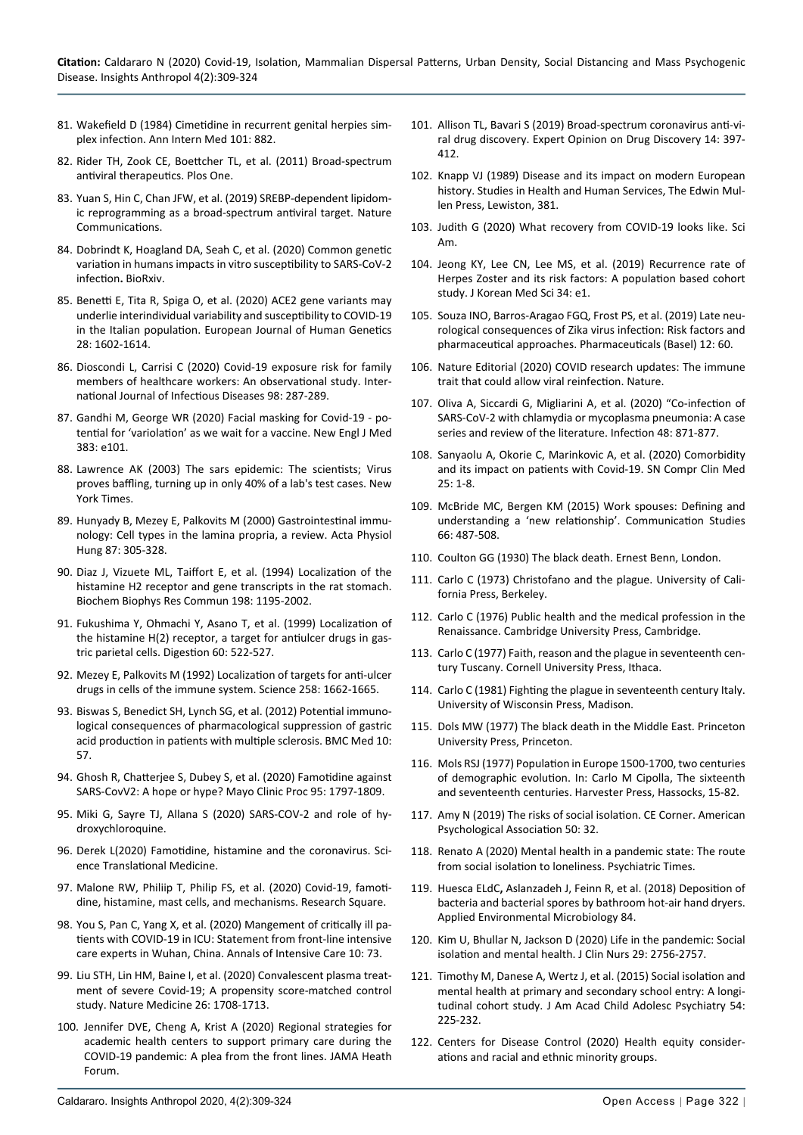- 81. [Wakefield D \(1984\) Cimetidine in recurrent genital herpies sim](https://pubmed.ncbi.nlm.nih.gov/6497213/)[plex infection. Ann Intern Med 101: 882.](https://pubmed.ncbi.nlm.nih.gov/6497213/)
- 82. [Rider TH, Zook CE, Boettcher TL, et al. \(2011\) Broad-spectrum](https://journals.plos.org/plosone/article?id=10.1371/journal.pone.0022572)  [antiviral therapeutics. Plos One.](https://journals.plos.org/plosone/article?id=10.1371/journal.pone.0022572)
- 83. [Yuan S, Hin C, Chan JFW, et al. \(2019\) SREBP-dependent lipidom](https://www.nature.com/articles/s41467-018-08015-x)[ic reprogramming as a broad-spectrum antiviral target. Nature](https://www.nature.com/articles/s41467-018-08015-x)  [Communications.](https://www.nature.com/articles/s41467-018-08015-x)
- 84. Dobrindt K, Hoagland DA, Seah C, [et al. \(2020\) Common genetic](https://www.biorxiv.org/content/10.1101/2020.09.20.300574v2)  variation in humans impacts in vitro [susceptibility to SARS-CoV-2](https://www.biorxiv.org/content/10.1101/2020.09.20.300574v2)  [infection](https://www.biorxiv.org/content/10.1101/2020.09.20.300574v2)**.** BioRxiv.
- 85. [Benetti E, Tita R, Spiga O, et al. \(2020\) ACE2](https://www.nature.com/articles/s41431-020-0691-z) gene variants may [underlie interindividual variability and susceptibility to COVID-19](https://www.nature.com/articles/s41431-020-0691-z)  [in the Italian population. European Journal of Human Genetics](https://www.nature.com/articles/s41431-020-0691-z)  [28: 1602-1614.](https://www.nature.com/articles/s41431-020-0691-z)
- 86. [Dioscondi L, Carrisi C \(2020\) Covid-19 exposure risk for family](https://www.sciencedirect.com/science/article/pii/S1201971220305415)  [members of healthcare workers: An observational study. Inter](https://www.sciencedirect.com/science/article/pii/S1201971220305415)[national Journal of Infectious Diseases 98: 287-289.](https://www.sciencedirect.com/science/article/pii/S1201971220305415)
- 87. [Gandhi M, George WR \(2020\) Facial masking for Covid-19 po](https://www.nejm.org/doi/full/10.1056/NEJMp2026913)[tential for 'variolation' as we wait for a vaccine. New Engl J Med](https://www.nejm.org/doi/full/10.1056/NEJMp2026913)  [383: e101.](https://www.nejm.org/doi/full/10.1056/NEJMp2026913)
- 88. [Lawrence AK \(2003\) The sars epidemic: The scientists; Virus](https://www.nytimes.com/2003/04/24/world/sars-epidemic-scientists-virus-proves-baffling-turning-up-only-40-lab-s-test.html)  [proves baffling, turning up in only 40% of a lab's test cases. New](https://www.nytimes.com/2003/04/24/world/sars-epidemic-scientists-virus-proves-baffling-turning-up-only-40-lab-s-test.html)  [York Times.](https://www.nytimes.com/2003/04/24/world/sars-epidemic-scientists-virus-proves-baffling-turning-up-only-40-lab-s-test.html)
- 89. [Hunyady B, Mezey E, Palkovits M \(2000\) Gastrointestinal immu](https://pubmed.ncbi.nlm.nih.gov/11732886/)[nology: Cell types in the lamina propria, a review. Acta Physiol](https://pubmed.ncbi.nlm.nih.gov/11732886/)  [Hung 87: 305-328.](https://pubmed.ncbi.nlm.nih.gov/11732886/)
- 90. [Diaz J, Vizuete ML, Taiffort E, et al. \(1994\) Localization of the](https://pubmed.ncbi.nlm.nih.gov/8117277/)  [histamine H2 receptor and gene transcripts in the rat stomach.](https://pubmed.ncbi.nlm.nih.gov/8117277/)  [Biochem Biophys Res Commun 198: 1195-2002.](https://pubmed.ncbi.nlm.nih.gov/8117277/)
- 91. [Fukushima Y, Ohmachi Y, Asano T, et al. \(1999\) Localization of](https://pubmed.ncbi.nlm.nih.gov/10545721/)  [the histamine H\(2\) receptor, a target for antiulcer drugs in gas](https://pubmed.ncbi.nlm.nih.gov/10545721/)[tric parietal cells. Digestion 60: 522-527.](https://pubmed.ncbi.nlm.nih.gov/10545721/)
- 92. [Mezey E, Palkovits M \(1992\) Localization of targets for anti-ulcer](https://science.sciencemag.org/content/258/5088/1662)  [drugs in cells of the immune system. Science 258: 1662-1665.](https://science.sciencemag.org/content/258/5088/1662)
- 93. [Biswas S, Benedict SH, Lynch SG, et al. \(2012\) Potential immuno](https://bmcmedicine.biomedcentral.com/articles/10.1186/1741-7015-10-57)[logical consequences of pharmacological suppression of gastric](https://bmcmedicine.biomedcentral.com/articles/10.1186/1741-7015-10-57)  [acid production in patients with multiple sclerosis. BMC Med 10:](https://bmcmedicine.biomedcentral.com/articles/10.1186/1741-7015-10-57)  [57.](https://bmcmedicine.biomedcentral.com/articles/10.1186/1741-7015-10-57)
- 94. [Ghosh R, Chatterjee S, Dubey S, et al. \(2020\) Famotidine against](https://pubmed.ncbi.nlm.nih.gov/32753153/)  [SARS-CovV2: A hope or hype? Mayo Clinic Proc 95: 1797-1809.](https://pubmed.ncbi.nlm.nih.gov/32753153/)
- 95. [Miki G, Sayre TJ, Allana S \(2020\) SARS-COV-2 and role of hy](https://innovationcompounding.com/wp-content/uploads/2020/04/SARS-CoV-2-and-Role-of-HCQ.pdf)[droxychloroquine.](https://innovationcompounding.com/wp-content/uploads/2020/04/SARS-CoV-2-and-Role-of-HCQ.pdf)
- 96. [Derek L\(2020\) Famotidine, histamine and the coronavirus. Sci](https://blogs.sciencemag.org/pipeline/archives/2020/05/29/famotidine-histamine-and-the-coronavirus)[ence Translational Medicine.](https://blogs.sciencemag.org/pipeline/archives/2020/05/29/famotidine-histamine-and-the-coronavirus)
- 97. [Malone RW, Philiip T, Philip FS, et al. \(2020\) Covid-19, famoti](https://www.ncbi.nlm.nih.gov/pmc/articles/PMC7336703/)[dine, histamine, mast cells, and mechanisms. Research Square.](https://www.ncbi.nlm.nih.gov/pmc/articles/PMC7336703/)
- 98. [You S, Pan C, Yang X, et al. \(2020\) Mangement of critically ill pa](https://www.ncbi.nlm.nih.gov/pmc/articles/PMC7275657/)[tients with COVID-19 in ICU: Statement from front-line intensive](https://www.ncbi.nlm.nih.gov/pmc/articles/PMC7275657/)  [care experts in Wuhan, China. Annals of Intensive Care 10:](https://www.ncbi.nlm.nih.gov/pmc/articles/PMC7275657/) 73.
- 99. [Liu STH, Lin HM, Baine I, et al. \(2020\) Convalescent plasma treat](https://www.nature.com/articles/s41591-020-1088-9)[ment of severe Covid-19; A propensity score-matched control](https://www.nature.com/articles/s41591-020-1088-9)  [study. Nature Medicine 26: 1708-1713.](https://www.nature.com/articles/s41591-020-1088-9)
- 100. [Jennifer DVE, Cheng A, Krist A \(2020\) Regional strategies for](https://jamanetwork.com/channels/health-forum/fullarticle/2764405)  [academic health centers to support primary care during the](https://jamanetwork.com/channels/health-forum/fullarticle/2764405)  [COVID-19 pandemic: A plea from the front lines. JAMA Heath](https://jamanetwork.com/channels/health-forum/fullarticle/2764405)  [Forum.](https://jamanetwork.com/channels/health-forum/fullarticle/2764405)
- 101. [Allison TL, Bavari S \(2019\) Broad-spectrum coronavirus anti-vi](https://pubmed.ncbi.nlm.nih.gov/30849247/)[ral drug discovery. Expert Opinion on Drug Discovery 14: 397-](https://pubmed.ncbi.nlm.nih.gov/30849247/) [412.](https://pubmed.ncbi.nlm.nih.gov/30849247/)
- 102. [Knapp VJ \(1989\) Disease and its impact on modern European](https://library.lincoln.ac.uk/items/69906)  [history. Studies in Health and Human Services, The Edwin Mul](https://library.lincoln.ac.uk/items/69906)[len Press, Lewiston, 381.](https://library.lincoln.ac.uk/items/69906)
- 103. [Judith G \(2020\) What recovery from COVID-19 looks like. Sci](https://www.scientificamerican.com/article/what-recovery-from-covid-19-looks-like/)  [Am.](https://www.scientificamerican.com/article/what-recovery-from-covid-19-looks-like/)
- 104. [Jeong KY, Lee CN, Lee MS, et al. \(2019\) Recurrence rate of](https://pubmed.ncbi.nlm.nih.gov/30636941/)  [Herpes Zoster and its risk factors: A population based cohort](https://pubmed.ncbi.nlm.nih.gov/30636941/)  [study. J Korean Med Sci 34: e1.](https://pubmed.ncbi.nlm.nih.gov/30636941/)
- 105. [Souza INO, Barros-Aragao FGQ, Frost PS, et al. \(2019\) Late neu](https://pubmed.ncbi.nlm.nih.gov/30999590/)[rological consequences of Zika virus infection: Risk factors and](https://pubmed.ncbi.nlm.nih.gov/30999590/)  [pharmaceutical approaches. Pharmaceuticals \(Basel\) 12: 60.](https://pubmed.ncbi.nlm.nih.gov/30999590/)
- 106. [Nature Editorial \(2020\) COVID research updates: The immune](https://www.nature.com/articles/d41586-020-00502-w)  [trait that could allow viral reinfection. Nature.](https://www.nature.com/articles/d41586-020-00502-w)
- 107. [Oliva A, Siccardi G, Migliarini A, et al. \(2020\) "Co-infection of](https://pubmed.ncbi.nlm.nih.gov/32725598/)  [SARS-CoV-2 with chlamydia or mycoplasma pneumonia: A case](https://pubmed.ncbi.nlm.nih.gov/32725598/)  [series and review of the literature. Infection 48: 871-877.](https://pubmed.ncbi.nlm.nih.gov/32725598/)
- 108. [Sanyaolu A, Okorie C, Marinkovic A, et al. \(2020\) Comorbidity](https://www.ncbi.nlm.nih.gov/pmc/articles/PMC7314621/)  [and its impact on patients with Covid-19. SN Compr Clin Med](https://www.ncbi.nlm.nih.gov/pmc/articles/PMC7314621/)   $25 \cdot 1 - 8$
- 109. [McBride MC, Bergen KM \(2015\) Work spouses: Defining and](https://www.tandfonline.com/doi/abs/10.1080/10510974.2015.1029640)  [understanding a 'new relationship'. Communication Studies](https://www.tandfonline.com/doi/abs/10.1080/10510974.2015.1029640)  [66: 487-508.](https://www.tandfonline.com/doi/abs/10.1080/10510974.2015.1029640)
- 110. Coulton GG (1930) The black death. Ernest Benn, London.
- 111. Carlo C (1973) Christofano and the plague. University of California Press, Berkeley.
- 112. Carlo C (1976) Public health and the medical profession in the Renaissance. Cambridge University Press, Cambridge.
- 113. Carlo C (1977) Faith, reason and the plague in seventeenth century Tuscany. Cornell University Press, Ithaca.
- 114. [Carlo C \(1981\) Fighting the plague in seventeenth century Italy.](https://uwpress.wisc.edu/books/0907.htm)  [University of Wisconsin Press, Madison.](https://uwpress.wisc.edu/books/0907.htm)
- 115. Dols MW (1977) The black death in the Middle East. Princeton University Press, Princeton.
- 116. Mols RSJ (1977) Population in Europe 1500-1700, two centuries of demographic evolution. In: Carlo M Cipolla, The sixteenth and seventeenth centuries. Harvester Press, Hassocks, 15-82.
- 117. [Amy N \(2019\) The risks of social isolation. CE Corner. American](https://www.apa.org/monitor/2019/05/ce-corner-isolation)  [Psychological Association 50: 32.](https://www.apa.org/monitor/2019/05/ce-corner-isolation)
- 118. [Renato A \(2020\) Mental health in a pandemic state: The route](https://www.psychiatrictimes.com/view/mental-health-pandemic-state-route-social-isolation-loneliness)  [from social isolation to loneliness. Psychiatric Times.](https://www.psychiatrictimes.com/view/mental-health-pandemic-state-route-social-isolation-loneliness)
- 119. Huesca ELdC**,** Aslanzadeh J, Feinn R, [et al. \(2018\) Deposition of](https://aem.asm.org/content/84/8/e00044-18)  [bacteria and bacterial spores by bathroom hot-air hand dryers.](https://aem.asm.org/content/84/8/e00044-18)  [Applied Environmental Microbiology 84.](https://aem.asm.org/content/84/8/e00044-18)
- 120. [Kim U, Bhullar N, Jackson D \(2020\) Life in the pandemic: Social](https://pubmed.ncbi.nlm.nih.gov/32250493/)  [isolation and mental health. J Clin Nurs 29: 2756-2757.](https://pubmed.ncbi.nlm.nih.gov/32250493/)
- 121. [Timothy M, Danese A, Wertz J, et al. \(2015\) Social isolation and](https://pubmed.ncbi.nlm.nih.gov/25721188/)  [mental health at primary and secondary school entry: A longi](https://pubmed.ncbi.nlm.nih.gov/25721188/)[tudinal cohort study. J Am Acad Child Adolesc Psychiatry 54:](https://pubmed.ncbi.nlm.nih.gov/25721188/)  [225-232.](https://pubmed.ncbi.nlm.nih.gov/25721188/)
- 122. [Centers for Disease Control \(2020\) Health equity consider](https://www.cdc.gov/coronavirus/2019-ncov/community/health-equity/race-ethnicity.html)[ations and racial and ethnic minority groups.](https://www.cdc.gov/coronavirus/2019-ncov/community/health-equity/race-ethnicity.html)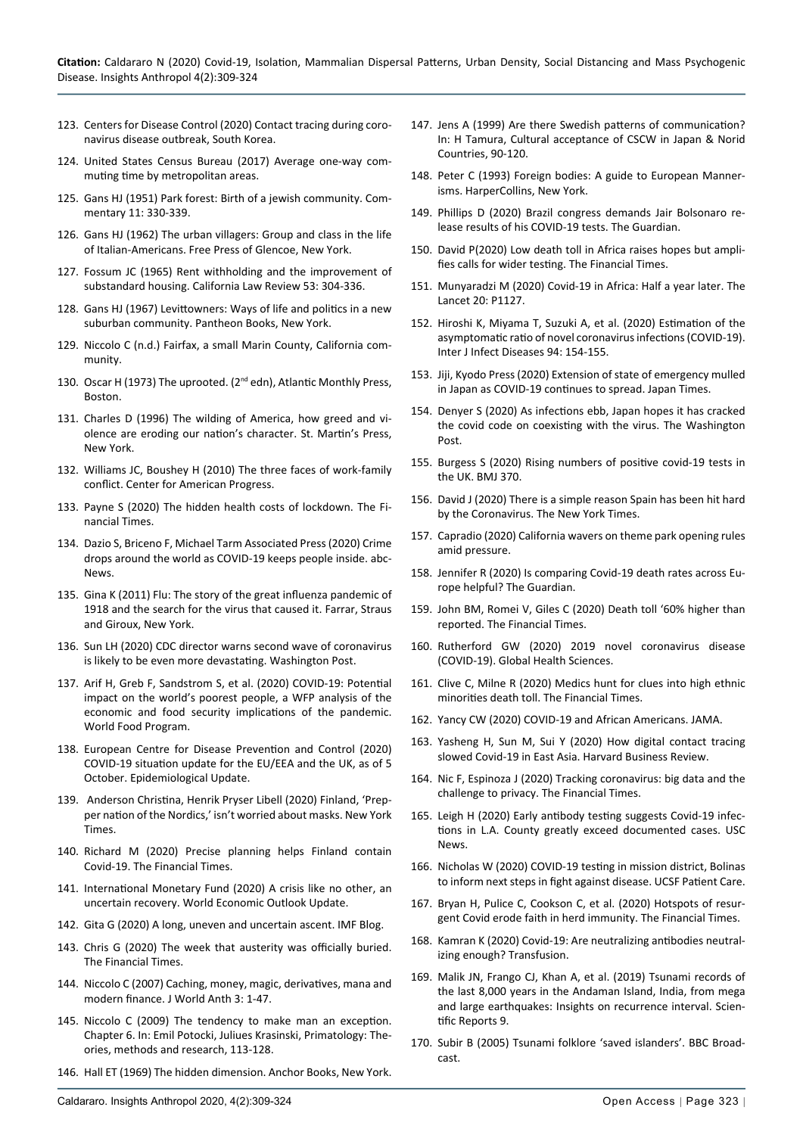- 123. [Centers for Disease Control \(2020\) Contact tracing during coro](https://wwwnc.cdc.gov/eid/article/26/10/20-1315_article/)[navirus disease outbreak, South Korea.](https://wwwnc.cdc.gov/eid/article/26/10/20-1315_article/)
- 124. [United States Census Bureau \(2017\) Average one-way com](https://www.census.gov/library/visualizations/interactive/travel-time.html)[muting time by metropolitan areas.](https://www.census.gov/library/visualizations/interactive/travel-time.html)
- 125. [Gans HJ \(1951\) Park forest: Birth of a jewish community. Com](https://www.commentarymagazine.com/articles/herbert-gans/park-forest-birth-of-a-jewish-communitya-documentary/)[mentary 11: 330-339.](https://www.commentarymagazine.com/articles/herbert-gans/park-forest-birth-of-a-jewish-communitya-documentary/)
- 126. Gans HJ (1962) The urban villagers: Group and class in the life of Italian-Americans. Free Press of Glencoe, New York.
- 127. [Fossum JC \(1965\) Rent withholding and the improvement of](https://www.jstor.org/stable/3479098)  [substandard housing. California Law Review 53: 304-336.](https://www.jstor.org/stable/3479098)
- 128. [Gans HJ \(1967\) Levittowners: Ways of life and politics in a new](https://clicsearch.hamline.edu/discovery/fulldisplay?docid=alma991000630189703688&context=L&vid=01CLIC_HAMLINE:HAMLINE&lang=en&search_scope=CLIC_and_HU_ALL_Profile&adaptor=Local Search Engine&tab=CLIC_and_HU_ALL&query=creator,exact,Gans, Herbert J.)  [suburban community. Pantheon Books, New York.](https://clicsearch.hamline.edu/discovery/fulldisplay?docid=alma991000630189703688&context=L&vid=01CLIC_HAMLINE:HAMLINE&lang=en&search_scope=CLIC_and_HU_ALL_Profile&adaptor=Local Search Engine&tab=CLIC_and_HU_ALL&query=creator,exact,Gans, Herbert J.)
- 129. Niccolo C (n.d.) Fairfax, a small Marin County, California community.
- 130. Oscar H (1973) The uprooted. (2<sup>nd</sup> edn), Atlantic Monthly Press, Boston.
- 131. [Charles D \(1996\) The wilding of America, how greed and vi](https://catalogue.nla.gov.au/Record/929324)[olence are eroding our nation's character. St. Martin's Press,](https://catalogue.nla.gov.au/Record/929324)  [New York.](https://catalogue.nla.gov.au/Record/929324)
- 132. [Williams JC, Boushey H \(2010\) The three faces of work-family](https://www.americanprogress.org/issues/economy/reports/2010/01/25/7194/the-three-faces-of-work-family-conflict/)  [conflict. Center for American Progress.](https://www.americanprogress.org/issues/economy/reports/2010/01/25/7194/the-three-faces-of-work-family-conflict/)
- 133. Payne S (2020) The hidden health costs of lockdown. The Financial Times.
- 134. [Dazio S, Briceno F, Michael Tarm Associated Press \(2020\) Crime](https://abcnews.go.com/Health/wireStory/crime-drops-world-covid-19-people-inside-70098369)  [drops around the world as COVID-19 keeps people inside. abc](https://abcnews.go.com/Health/wireStory/crime-drops-world-covid-19-people-inside-70098369)-[News.](https://abcnews.go.com/Health/wireStory/crime-drops-world-covid-19-people-inside-70098369)
- 135. Gina K (2011) Flu: The story of the great influenza pandemic of 1918 and the search for the virus that caused it. Farrar, Straus and Giroux, New York.
- 136. [Sun LH \(2020\) CDC director warns second wave of coronavirus](https://www.pharmacist.com/article/cdc-director-warns-second-wave-coronavirus-likely-be-even-more-devastating)  [is likely to be even more devastating. Washington Post.](https://www.pharmacist.com/article/cdc-director-warns-second-wave-coronavirus-likely-be-even-more-devastating)
- 137. [Arif H, Greb F, Sandstrom S, et al. \(2020\) COVID-19: Potential](https://docs.wfp.org/api/documents/WFP-0000114040/download/)  [impact on the world's poorest people, a WFP analysis of the](https://docs.wfp.org/api/documents/WFP-0000114040/download/)  [economic and food security implications of the pandemic.](https://docs.wfp.org/api/documents/WFP-0000114040/download/)  [World Food Program.](https://docs.wfp.org/api/documents/WFP-0000114040/download/)
- 138. [European Centre for Disease Prevention and Control \(2020\)](https://www.ecdc.europa.eu/en/cases-2019-ncov-eueea)  [COVID-19 situation update for the EU/EEA and the UK, as of 5](https://www.ecdc.europa.eu/en/cases-2019-ncov-eueea)  [October. Epidemiological Update.](https://www.ecdc.europa.eu/en/cases-2019-ncov-eueea)
- 139. [Anderson Christina, Henrik Pryser Libell \(2020\) Finland, 'Prep](https://www.moneycontrol.com/news/world/finland-prepper-nation-of-the-nordics-isnt-worried-about-masks-5111731.html)[per nation of the Nordics,' isn't worried about masks. New York](https://www.moneycontrol.com/news/world/finland-prepper-nation-of-the-nordics-isnt-worried-about-masks-5111731.html)  [Times.](https://www.moneycontrol.com/news/world/finland-prepper-nation-of-the-nordics-isnt-worried-about-masks-5111731.html)
- 140. Richard M (2020) Precise planning helps Finland contain Covid-19. The Financial Times.
- 141. [International Monetary Fund \(2020\) A crisis like no other, an](https://www.imf.org/en/Publications/WEO/Issues/2020/06/24/WEOUpdateJune2020)  [uncertain recovery. World Economic Outlook Update.](https://www.imf.org/en/Publications/WEO/Issues/2020/06/24/WEOUpdateJune2020)
- 142. [Gita G \(2020\) A long, uneven and uncertain ascent. IMF Blog.](https://blogs.imf.org/2020/10/13/a-long-uneven-and-uncertain-ascent/)
- 143. [Chris G \(2020\) The week that austerity was officially buried.](https://www.ft.com/content/0940e381-647a-4531-8787-e8c7dafbd885)  [The Financial Times.](https://www.ft.com/content/0940e381-647a-4531-8787-e8c7dafbd885)
- 144. [Niccolo C \(2007\) Caching, money, magic, derivatives, mana and](https://www.academia.edu/26697266/Caching_Money_Magic_Derivatives_Mana_and_Modern_Finance)  [modern finance. J World Anth 3: 1-47.](https://www.academia.edu/26697266/Caching_Money_Magic_Derivatives_Mana_and_Modern_Finance)
- 145. Niccolo C (2009) The tendency to make man an exception. Chapter 6. In: Emil Potocki, Juliues Krasinski, Primatology: Theories, methods and research, 113-128.
- 146. [Hall ET \(1969\) The hidden dimension. Anchor Books, New York.](https://www.worldcat.org/title/hidden-dimension/oclc/203769)
- 147. Jens A (1999) Are there Swedish patterns of communication? In: H Tamura, Cultural acceptance of CSCW in Japan & Norid Countries, 90-120.
- 148. Peter C (1993) Foreign bodies: A guide to European Mannerisms. HarperCollins, New York.
- 149. [Phillips D \(2020\) Brazil congress demands Jair Bolsonaro re](https://www.theguardian.com/world/2020/apr/15/jair-bolsonaro-brazil-coronavirus-tests-results)[lease results of his COVID-19 tests. The Guardian.](https://www.theguardian.com/world/2020/apr/15/jair-bolsonaro-brazil-coronavirus-tests-results)
- 150. David P(2020) Low death toll in Africa raises hopes but amplifies calls for wider testing. The Financial Times.
- 151. [Munyaradzi M \(2020\) Covid-19 in Africa: Half a year later. The](https://www.thelancet.com/journals/laninf/article/PIIS1473-3099(20)30708-8/fulltext)  [Lancet 20: P1127.](https://www.thelancet.com/journals/laninf/article/PIIS1473-3099(20)30708-8/fulltext)
- 152. [Hiroshi K, Miyama T, Suzuki A, et al. \(2020\) Estimation of the](https://www.ijidonline.com/article/S1201-9712(20)30139-9/fulltext)  [asymptomatic ratio of novel coronavirus infections \(COVID-19\).](https://www.ijidonline.com/article/S1201-9712(20)30139-9/fulltext)  [Inter J Infect Diseases 94: 154-155.](https://www.ijidonline.com/article/S1201-9712(20)30139-9/fulltext)
- 153. [Jiji, Kyodo Press \(2020\) Extension of state of emergency mulled](https://www.japantimes.co.jp/news/2020/04/30/national/government-in-talks-over-extending-japans-state-of-emergency-as-covid-19-continues-to-spread/#.Xqx2Ja2ZPx4)  [in Japan as COVID-19 continues to spread. Japan Times.](https://www.japantimes.co.jp/news/2020/04/30/national/government-in-talks-over-extending-japans-state-of-emergency-as-covid-19-continues-to-spread/#.Xqx2Ja2ZPx4)
- 154. [Denyer S \(2020\) As infections ebb, Japan hopes it has cracked](https://www.washingtonpost.com/world/asia_pacific/as-infections-ebb-japan-hopes-it-has-cracked-the-covid-code-on-coexisting-with-the-virus/2020/09/17/4742e284-eea2-11ea-bd08-1b10132b458f_story.html)  [the covid code on coexisting with the virus. The Washington](https://www.washingtonpost.com/world/asia_pacific/as-infections-ebb-japan-hopes-it-has-cracked-the-covid-code-on-coexisting-with-the-virus/2020/09/17/4742e284-eea2-11ea-bd08-1b10132b458f_story.html)  [Post.](https://www.washingtonpost.com/world/asia_pacific/as-infections-ebb-japan-hopes-it-has-cracked-the-covid-code-on-coexisting-with-the-virus/2020/09/17/4742e284-eea2-11ea-bd08-1b10132b458f_story.html)
- 155. [Burgess S \(2020\) Rising numbers of positive covid-19 tests in](https://www.bmj.com/content/370/bmj.m3605)  [the UK. BMJ 370.](https://www.bmj.com/content/370/bmj.m3605)
- 156. [David J \(2020\) There is a simple reason Spain has been hit hard](https://www.nytimes.com/2020/09/24/opinion/spain-pandemic-second-wave.html)  [by the Coronavirus. The New York Times.](https://www.nytimes.com/2020/09/24/opinion/spain-pandemic-second-wave.html)
- 157. [Capradio \(2020\) California wavers on theme park opening rules](https://www.capradio.org/articles/2020/11/10/california-coronavirus-updates/)  [amid pressure.](https://www.capradio.org/articles/2020/11/10/california-coronavirus-updates/)
- 158. [Jennifer R \(2020\) Is comparing Covid-19 death rates across Eu](https://www.theguardian.com/world/2020/apr/24/is-comparing-covid-19-death-rates-across-europe-helpful-)[rope helpful? The Guardian.](https://www.theguardian.com/world/2020/apr/24/is-comparing-covid-19-death-rates-across-europe-helpful-)
- 159. John BM, Romei V, Giles C (2020) Death toll '60% higher than reported. The Financial Times.
- 160. [Rutherford GW \(2020\) 2019 novel coronavirus disease](https://globalhealthsciences.ucsf.edu/sites/globalhealthsciences.ucsf.edu/files/gr-covid-2019-march-30.pdf)  [\(COVID-19\). Global Health Sciences.](https://globalhealthsciences.ucsf.edu/sites/globalhealthsciences.ucsf.edu/files/gr-covid-2019-march-30.pdf)
- 161. Clive C, Milne R (2020) Medics hunt for clues into high ethnic minorities death toll. The Financial Times.
- 162. [Yancy CW \(2020\) COVID-19 and African Americans. JAMA.](https://jamanetwork.com/journals/jama/fullarticle/2764789)
- 163. [Yasheng H, Sun M, Sui Y \(2020\) How digital contact tracing](https://hbr.org/2020/04/how-digital-contact-tracing-slowed-covid-19-in-east-asia)  [slowed Covid-19 in East Asia. Harvard Business Review.](https://hbr.org/2020/04/how-digital-contact-tracing-slowed-covid-19-in-east-asia)
- 164. [Nic F, Espinoza J \(2020\) Tracking coronavirus: big data and the](https://www.ft.com/content/7cfad020-78c4-11ea-9840-1b8019d9a987)  [challenge to privacy. The Financial Times.](https://www.ft.com/content/7cfad020-78c4-11ea-9840-1b8019d9a987)
- 165. [Leigh H \(2020\) Early antibody testing suggests Covid-19 infec](https://www.hpnonline.com/infection-prevention/screening-surveillance/article/21134852/early-antibody-testing-suggests-covid19-infections-in-la-county-greatly-exceed-documented-cases)[tions in L.A. County greatly exceed documented cases. USC](https://www.hpnonline.com/infection-prevention/screening-surveillance/article/21134852/early-antibody-testing-suggests-covid19-infections-in-la-county-greatly-exceed-documented-cases)  [News.](https://www.hpnonline.com/infection-prevention/screening-surveillance/article/21134852/early-antibody-testing-suggests-covid19-infections-in-la-county-greatly-exceed-documented-cases)
- 166. [Nicholas W \(2020\) COVID-19 testing in mission district, Bolinas](https://www.ucsf.edu/news/2020/04/417206/covid-19-testing-mission-district-bolinas-inform-next-steps-fight-against)  [to inform next steps in fight against disease. UCSF Patient Care.](https://www.ucsf.edu/news/2020/04/417206/covid-19-testing-mission-district-bolinas-inform-next-steps-fight-against)
- 167. [Bryan H, Pulice C, Cookson C, et al. \(2020\) Hotspots of resur](https://www.ft.com/content/5b96ee2d-9ced-46ae-868f-43c9d8df1ecb)[gent Covid erode faith in herd immunity. The Financial Times.](https://www.ft.com/content/5b96ee2d-9ced-46ae-868f-43c9d8df1ecb)
- 168. [Kamran K \(2020\) Covid-19: Are neutralizing antibodies neutral](https://www.ncbi.nlm.nih.gov/pmc/articles/PMC7283620/)[izing enough? Transfusion.](https://www.ncbi.nlm.nih.gov/pmc/articles/PMC7283620/)
- 169. [Malik JN, Frango CJ, Khan A, et al. \(2019\) Tsunami records of](https://www.nature.com/articles/s41598-019-54750-6)  [the last 8,000 years in the Andaman Island, India, from mega](https://www.nature.com/articles/s41598-019-54750-6)  [and large earthquakes: Insights on recurrence interval. Scien](https://www.nature.com/articles/s41598-019-54750-6)[tific Reports 9.](https://www.nature.com/articles/s41598-019-54750-6)
- 170. [Subir B \(2005\) Tsunami folklore 'saved islanders'. BBC Broad](http://news.bbc.co.uk/2/hi/south_asia/4181855.stm)[cast.](http://news.bbc.co.uk/2/hi/south_asia/4181855.stm)